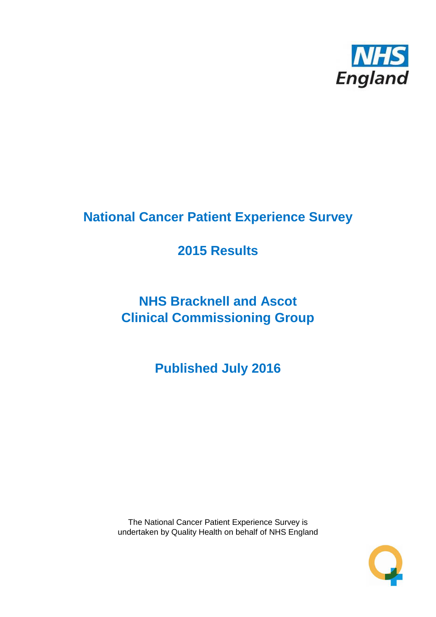

# **National Cancer Patient Experience Survey**

# **2015 Results**

# **NHS Bracknell and Ascot Clinical Commissioning Group**

**Published July 2016**

The National Cancer Patient Experience Survey is undertaken by Quality Health on behalf of NHS England

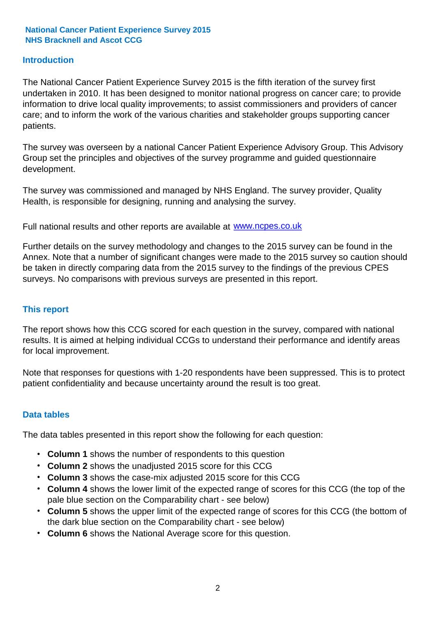### **Introduction**

The National Cancer Patient Experience Survey 2015 is the fifth iteration of the survey first undertaken in 2010. It has been designed to monitor national progress on cancer care; to provide information to drive local quality improvements; to assist commissioners and providers of cancer care; and to inform the work of the various charities and stakeholder groups supporting cancer patients.

The survey was overseen by a national Cancer Patient Experience Advisory Group. This Advisory Group set the principles and objectives of the survey programme and guided questionnaire development.

The survey was commissioned and managed by NHS England. The survey provider, Quality Health, is responsible for designing, running and analysing the survey.

Full national results and other reports are available at www.ncpes.co.uk

Further details on the survey methodology and changes to the 2015 survey can be found in the Annex. Note that a number of significant changes were made to the 2015 survey so caution should be taken in directly comparing data from the 2015 survey to the findings of the previous CPES surveys. No comparisons with previous surveys are presented in this report.

### **This report**

The report shows how this CCG scored for each question in the survey, compared with national results. It is aimed at helping individual CCGs to understand their performance and identify areas for local improvement.

Note that responses for questions with 1-20 respondents have been suppressed. This is to protect patient confidentiality and because uncertainty around the result is too great.

### **Data tables**

The data tables presented in this report show the following for each question:

- **Column 1** shows the number of respondents to this question
- **Column 2** shows the unadjusted 2015 score for this CCG
- **Column 3** shows the case-mix adjusted 2015 score for this CCG
- **Column 4** shows the lower limit of the expected range of scores for this CCG (the top of the pale blue section on the Comparability chart - see below)
- **Column 5** shows the upper limit of the expected range of scores for this CCG (the bottom of the dark blue section on the Comparability chart - see below)
- **Column 6** shows the National Average score for this question.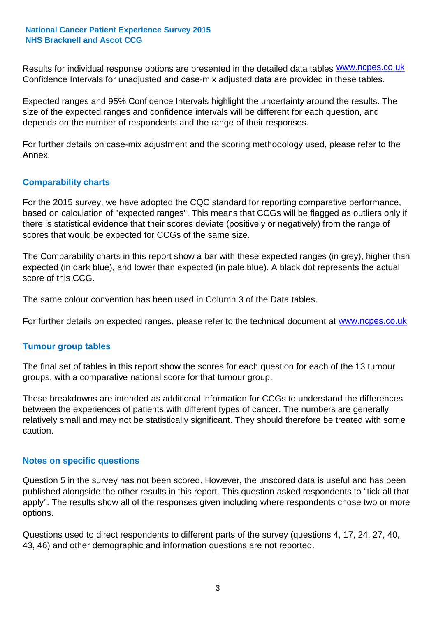Results for individual response options are presented in the detailed data tables **WWW.ncpes.co.uk** Confidence Intervals for unadjusted and case-mix adjusted data are provided in these tables.

Expected ranges and 95% Confidence Intervals highlight the uncertainty around the results. The size of the expected ranges and confidence intervals will be different for each question, and depends on the number of respondents and the range of their responses.

For further details on case-mix adjustment and the scoring methodology used, please refer to the Annex.

### **Comparability charts**

For the 2015 survey, we have adopted the CQC standard for reporting comparative performance, based on calculation of "expected ranges". This means that CCGs will be flagged as outliers only if there is statistical evidence that their scores deviate (positively or negatively) from the range of scores that would be expected for CCGs of the same size.

The Comparability charts in this report show a bar with these expected ranges (in grey), higher than expected (in dark blue), and lower than expected (in pale blue). A black dot represents the actual score of this CCG.

The same colour convention has been used in Column 3 of the Data tables.

For further details on expected ranges, please refer to the technical document at **www.ncpes.co.uk** 

### **Tumour group tables**

The final set of tables in this report show the scores for each question for each of the 13 tumour groups, with a comparative national score for that tumour group.

These breakdowns are intended as additional information for CCGs to understand the differences between the experiences of patients with different types of cancer. The numbers are generally relatively small and may not be statistically significant. They should therefore be treated with some caution.

### **Notes on specific questions**

Question 5 in the survey has not been scored. However, the unscored data is useful and has been published alongside the other results in this report. This question asked respondents to "tick all that apply". The results show all of the responses given including where respondents chose two or more options.

Questions used to direct respondents to different parts of the survey (questions 4, 17, 24, 27, 40, 43, 46) and other demographic and information questions are not reported.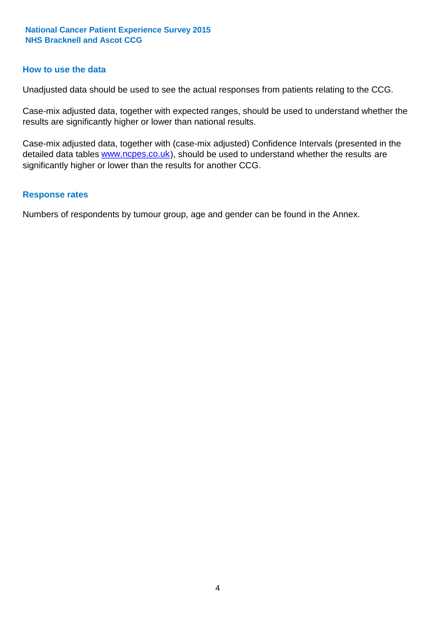### **How to use the data**

Unadjusted data should be used to see the actual responses from patients relating to the CCG.

Case-mix adjusted data, together with expected ranges, should be used to understand whether the results are significantly higher or lower than national results.

Case-mix adjusted data, together with (case-mix adjusted) Confidence Intervals (presented in the detailed data tables **www.ncpes.co.uk**), should be used to understand whether the results are significantly higher or lower than the results for another CCG.

#### **Response rates**

Numbers of respondents by tumour group, age and gender can be found in the Annex.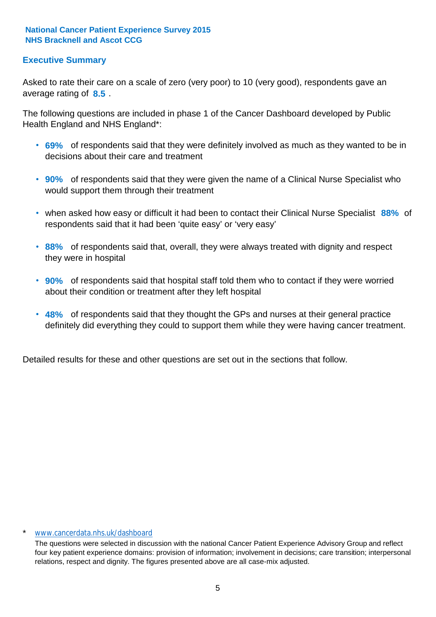# **Executive Summary**

average rating of 8.5. Asked to rate their care on a scale of zero (very poor) to 10 (very good), respondents gave an

The following questions are included in phase 1 of the Cancer Dashboard developed by Public Health England and NHS England\*:

- **69%** of respondents said that they were definitely involved as much as they wanted to be in decisions about their care and treatment
- **90%** of respondents said that they were given the name of a Clinical Nurse Specialist who would support them through their treatment
- when asked how easy or difficult it had been to contact their Clinical Nurse Specialist 88% of respondents said that it had been 'quite easy' or 'very easy'
- **88%** of respondents said that, overall, they were always treated with dignity and respect they were in hospital
- **90%** of respondents said that hospital staff told them who to contact if they were worried about their condition or treatment after they left hospital
- **48%** of respondents said that they thought the GPs and nurses at their general practice definitely did everything they could to support them while they were having cancer treatment.

Detailed results for these and other questions are set out in the sections that follow.

#### \* www.cancerdata.nhs.uk/dashboard

The questions were selected in discussion with the national Cancer Patient Experience Advisory Group and reflect four key patient experience domains: provision of information; involvement in decisions; care transition; interpersonal relations, respect and dignity. The figures presented above are all case-mix adjusted.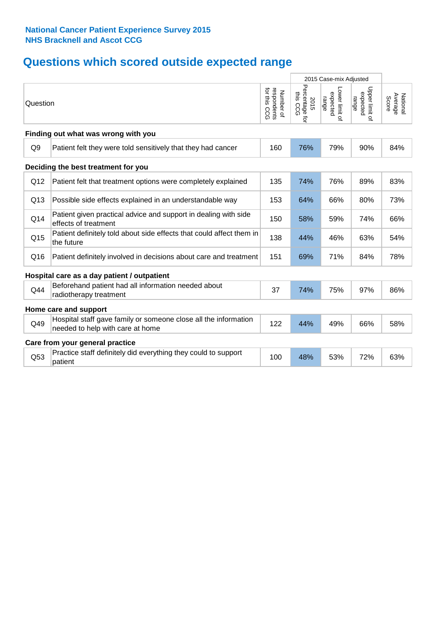# **Questions which scored outside expected range**

|                 |                                                                                                     |                                                      |                                    | 2015 Case-mix Adjusted              |                                     |                              |
|-----------------|-----------------------------------------------------------------------------------------------------|------------------------------------------------------|------------------------------------|-------------------------------------|-------------------------------------|------------------------------|
| Question        |                                                                                                     | for this<br>respondents<br>for this CCG<br>Number of | Percentage for<br>this CCG<br>2015 | Lower limit of<br>expected<br>range | Upper limit of<br>expected<br>range | Average<br>National<br>Score |
|                 | Finding out what was wrong with you                                                                 |                                                      |                                    |                                     |                                     |                              |
| Q <sub>9</sub>  | Patient felt they were told sensitively that they had cancer                                        | 160                                                  | 76%                                | 79%                                 | 90%                                 | 84%                          |
|                 | Deciding the best treatment for you                                                                 |                                                      |                                    |                                     |                                     |                              |
| Q12             | Patient felt that treatment options were completely explained                                       | 135                                                  | 74%                                | 76%                                 | 89%                                 | 83%                          |
| Q13             | Possible side effects explained in an understandable way                                            | 153                                                  | 64%                                | 66%                                 | 80%                                 | 73%                          |
| Q14             | Patient given practical advice and support in dealing with side<br>effects of treatment             | 150                                                  | 58%                                | 59%                                 | 74%                                 | 66%                          |
| Q <sub>15</sub> | Patient definitely told about side effects that could affect them in<br>the future                  | 138                                                  | 44%                                | 46%                                 | 63%                                 | 54%                          |
| Q16             | Patient definitely involved in decisions about care and treatment                                   | 151                                                  | 69%                                | 71%                                 | 84%                                 | 78%                          |
|                 | Hospital care as a day patient / outpatient                                                         |                                                      |                                    |                                     |                                     |                              |
| Q44             | Beforehand patient had all information needed about<br>radiotherapy treatment                       | 37                                                   | 74%                                | 75%                                 | 97%                                 | 86%                          |
|                 | Home care and support                                                                               |                                                      |                                    |                                     |                                     |                              |
| Q49             | Hospital staff gave family or someone close all the information<br>needed to help with care at home | 122                                                  | 44%                                | 49%                                 | 66%                                 | 58%                          |
|                 | Care from your general practice                                                                     |                                                      |                                    |                                     |                                     |                              |
| Q53             | Practice staff definitely did everything they could to support<br>patient                           | 100                                                  | 48%                                | 53%                                 | 72%                                 | 63%                          |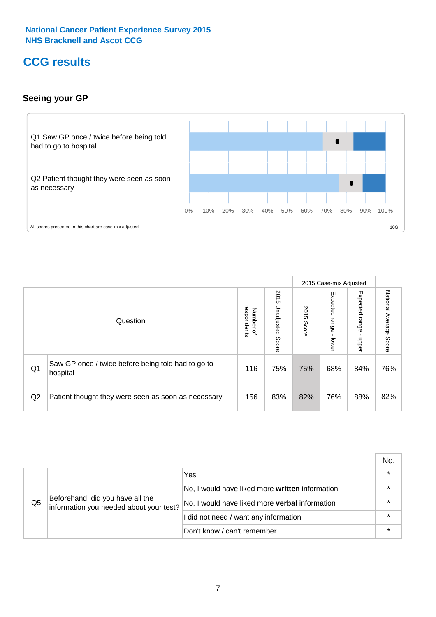# **CCG results**

# **Seeing your GP**



|    |                                                                |                                              |                             | 2015 Case-mix Adjusted |                            |                            |                           |
|----|----------------------------------------------------------------|----------------------------------------------|-----------------------------|------------------------|----------------------------|----------------------------|---------------------------|
|    | Question                                                       | respondents<br>Number<br>$\overline{\sigma}$ | 2015<br>Unadjusted<br>Score | 2015<br>Score          | Expected<br>range<br>lewer | Expected<br>range<br>dpper | National Average<br>Score |
| Q1 | Saw GP once / twice before being told had to go to<br>hospital | 116                                          | 75%                         | 75%                    | 68%                        | 84%                        | 76%                       |
| Q2 | Patient thought they were seen as soon as necessary            | 156                                          | 83%                         | 82%                    | 76%                        | 88%                        | 82%                       |

|    |                                                                             |                                                 | No.     |
|----|-----------------------------------------------------------------------------|-------------------------------------------------|---------|
|    |                                                                             | Yes                                             | $\star$ |
|    | Beforehand, did you have all the<br>information you needed about your test? | No, I would have liked more written information | $\star$ |
| Q5 |                                                                             | No, I would have liked more verbal information  | $\star$ |
|    |                                                                             | I did not need / want any information           | $\star$ |
|    |                                                                             | Don't know / can't remember                     | $\star$ |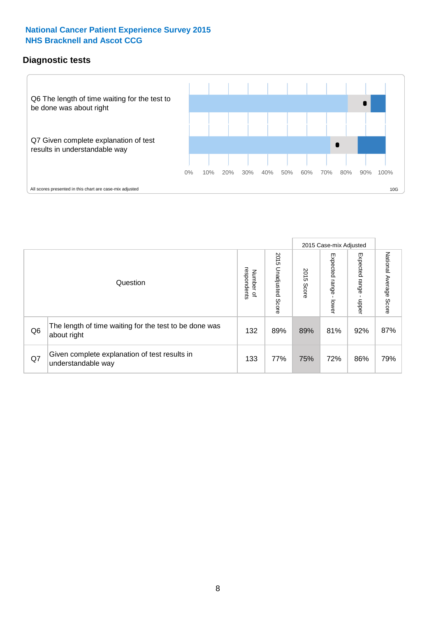# **Diagnostic tests**



|                |                                                                       |                                              |                             |               | 2015 Case-mix Adjusted  |                         |                           |
|----------------|-----------------------------------------------------------------------|----------------------------------------------|-----------------------------|---------------|-------------------------|-------------------------|---------------------------|
|                | Question                                                              | respondents<br>Number<br>$\overline{\sigma}$ | 2015<br>Unadjusted<br>Score | 2015<br>Score | Expected range<br>lower | Expected range<br>nbber | National Average<br>Score |
| Q <sub>6</sub> | The length of time waiting for the test to be done was<br>about right | 132                                          | 89%                         | 89%           | 81%                     | 92%                     | 87%                       |
| Q7             | Given complete explanation of test results in<br>understandable way   | 133                                          | 77%                         | 75%           | 72%                     | 86%                     | 79%                       |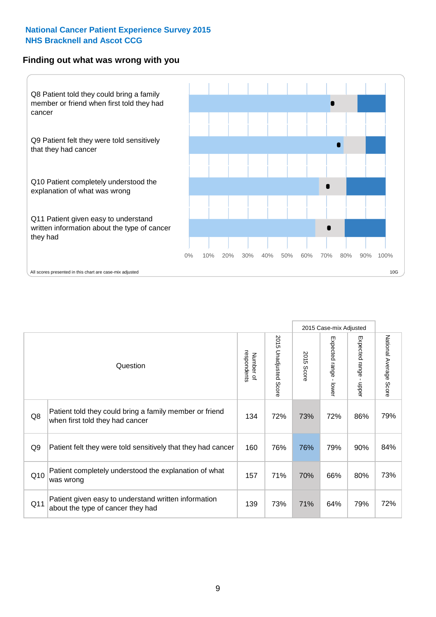### **Finding out what was wrong with you**



|     |                                                                                            |                          |                       |            | 2015 Case-mix Adjusted    |                                         |                                  |
|-----|--------------------------------------------------------------------------------------------|--------------------------|-----------------------|------------|---------------------------|-----------------------------------------|----------------------------------|
|     | Question                                                                                   | respondents<br>Number of | 2015 Unadjusted Score | 2015 Score | Expected range -<br>lower | Expected range<br>$\mathbf{I}$<br>nbber | National Average<br><b>Score</b> |
| Q8  | Patient told they could bring a family member or friend<br>when first told they had cancer | 134                      | 72%                   | 73%        | 72%                       | 86%                                     | 79%                              |
| Q9  | Patient felt they were told sensitively that they had cancer                               | 160                      | 76%                   | 76%        | 79%                       | 90%                                     | 84%                              |
| Q10 | Patient completely understood the explanation of what<br>was wrong                         | 157                      | 71%                   | 70%        | 66%                       | 80%                                     | 73%                              |
| Q11 | Patient given easy to understand written information<br>about the type of cancer they had  | 139                      | 73%                   | 71%        | 64%                       | 79%                                     | 72%                              |
|     |                                                                                            |                          |                       |            |                           |                                         |                                  |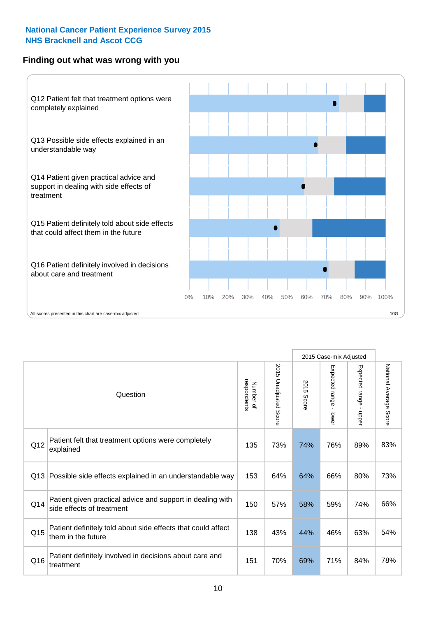# **Finding out what was wrong with you**



|     |                                                                                         |                          |                          |               | 2015 Case-mix Adjusted    |                        |                        |
|-----|-----------------------------------------------------------------------------------------|--------------------------|--------------------------|---------------|---------------------------|------------------------|------------------------|
|     | Question                                                                                | respondents<br>Number of | 2015<br>Unadjusted Score | 2015<br>Score | Expected range -<br>lower | Expected range - upper | National Average Score |
| Q12 | Patient felt that treatment options were completely<br>explained                        | 135                      | 73%                      | 74%           | 76%                       | 89%                    | 83%                    |
| Q13 | Possible side effects explained in an understandable way                                | 153                      | 64%                      | 64%           | 66%                       | 80%                    | 73%                    |
| Q14 | Patient given practical advice and support in dealing with<br>side effects of treatment | 150                      | 57%                      | 58%           | 59%                       | 74%                    | 66%                    |
| Q15 | Patient definitely told about side effects that could affect<br>them in the future      | 138                      | 43%                      | 44%           | 46%                       | 63%                    | 54%                    |
| Q16 | Patient definitely involved in decisions about care and<br>treatment                    | 151                      | 70%                      | 69%           | 71%                       | 84%                    | 78%                    |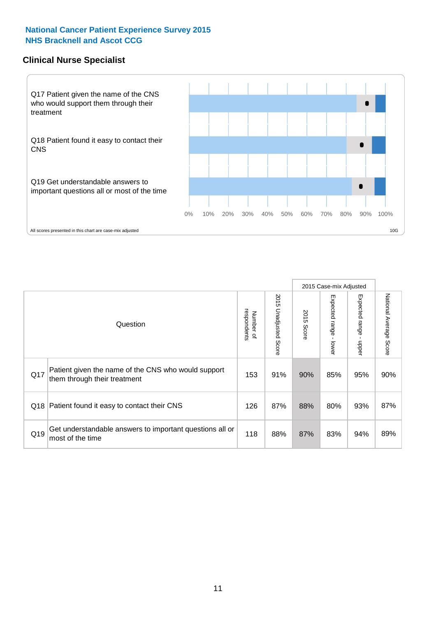### **Clinical Nurse Specialist**



|     |                                                                                     |                          |                       |               | 2015 Case-mix Adjusted  |                              |                                  |
|-----|-------------------------------------------------------------------------------------|--------------------------|-----------------------|---------------|-------------------------|------------------------------|----------------------------------|
|     | Question                                                                            | respondents<br>Number of | 2015 Unadjusted Score | 2015<br>Score | Expected range<br>lower | Expected<br>l range<br>nbber | National Average<br><b>Score</b> |
| Q17 | Patient given the name of the CNS who would support<br>them through their treatment | 153                      | 91%                   | 90%           | 85%                     | 95%                          | 90%                              |
| Q18 | Patient found it easy to contact their CNS                                          | 126                      | 87%                   | 88%           | 80%                     | 93%                          | 87%                              |
| Q19 | Get understandable answers to important questions all or<br>most of the time        | 118                      | 88%                   | 87%           | 83%                     | 94%                          | 89%                              |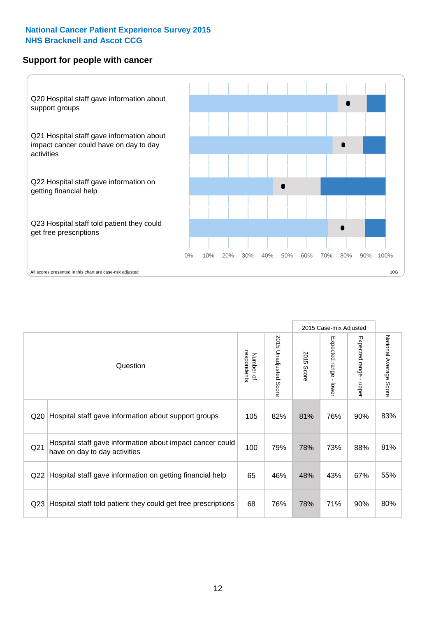### **Support for people with cancer**



|                 |                                                                                            |                          |                                 |                      | 2015 Case-mix Adjusted                    |                                         |                        |
|-----------------|--------------------------------------------------------------------------------------------|--------------------------|---------------------------------|----------------------|-------------------------------------------|-----------------------------------------|------------------------|
|                 | Question                                                                                   | respondents<br>Number of | 2015<br><b>Unadjusted Score</b> | 2015<br><b>Score</b> | Expected range<br>$\blacksquare$<br>lower | Expected range<br>$\mathbf{I}$<br>nbber | National Average Score |
| Q20             | Hospital staff gave information about support groups                                       | 105                      | 82%                             | 81%                  | 76%                                       | 90%                                     | 83%                    |
| Q21             | Hospital staff gave information about impact cancer could<br>have on day to day activities | 100                      | 79%                             | 78%                  | 73%                                       | 88%                                     | 81%                    |
| Q22             | Hospital staff gave information on getting financial help                                  | 65                       | 46%                             | 48%                  | 43%                                       | 67%                                     | 55%                    |
| Q <sub>23</sub> | Hospital staff told patient they could get free prescriptions                              | 68                       | 76%                             | 78%                  | 71%                                       | 90%                                     | 80%                    |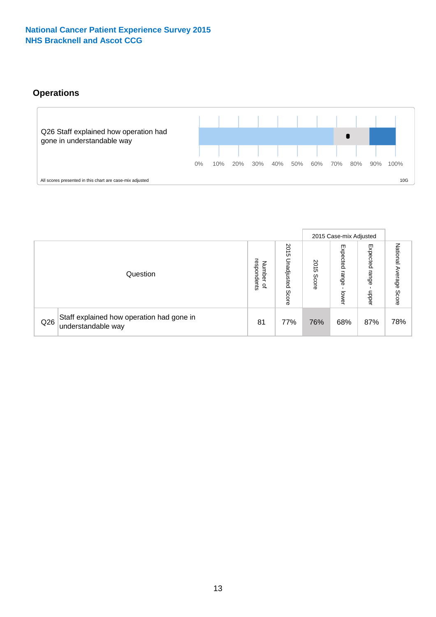# **Operations**



|     |                                                                 |                                              |                             |               | 2015 Case-mix Adjusted     |                           |                              |
|-----|-----------------------------------------------------------------|----------------------------------------------|-----------------------------|---------------|----------------------------|---------------------------|------------------------------|
|     | Question                                                        | respondents<br>Number<br>$\overline{\sigma}$ | 2015<br>Unadjusted<br>Score | 2015<br>Score | Expected<br>range<br>lower | Expected<br>range<br>dddn | National<br>Average<br>Score |
| Q26 | Staff explained how operation had gone in<br>understandable way | 81                                           | 77%                         | 76%           | 68%                        | 87%                       | 78%                          |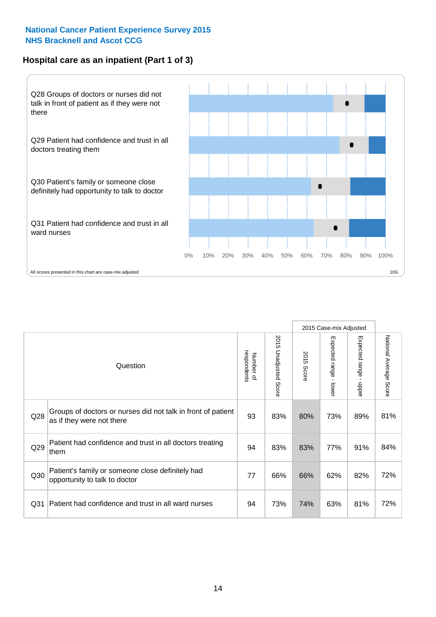# **Hospital care as an inpatient (Part 1 of 3)**



All scores presented in this chart are case-mix adjusted  $10G$ 

|                 |                                                                                           |                          |                          |               | 2015 Case-mix Adjusted                    |                                           |                        |
|-----------------|-------------------------------------------------------------------------------------------|--------------------------|--------------------------|---------------|-------------------------------------------|-------------------------------------------|------------------------|
|                 | Question                                                                                  | respondents<br>Number of | 2015<br>Unadjusted Score | 2015<br>Score | Expected range<br>$\blacksquare$<br>lower | Expected range<br>$\blacksquare$<br>nbber | National Average Score |
| Q <sub>28</sub> | Groups of doctors or nurses did not talk in front of patient<br>as if they were not there | 93                       | 83%                      | 80%           | 73%                                       | 89%                                       | 81%                    |
| Q29             | Patient had confidence and trust in all doctors treating<br>them                          | 94                       | 83%                      | 83%           | 77%                                       | 91%                                       | 84%                    |
| Q30             | Patient's family or someone close definitely had<br>opportunity to talk to doctor         | 77                       | 66%                      | 66%           | 62%                                       | 82%                                       | 72%                    |
| Q <sub>31</sub> | Patient had confidence and trust in all ward nurses                                       | 94                       | 73%                      | 74%           | 63%                                       | 81%                                       | 72%                    |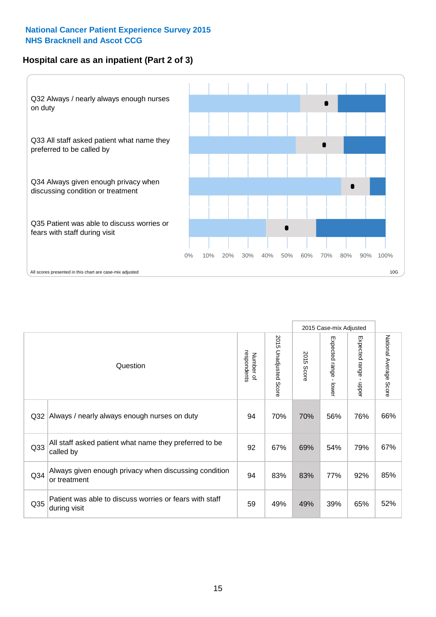# **Hospital care as an inpatient (Part 2 of 3)**



|                 | Question                                                                | respondents<br>Number of | 2015 Unadjusted Score | 2015 Score | 2015 Case-mix Adjusted<br>Expected range<br>- lower | Expected range<br>$\mathbf{I}$<br>nbber | National Average<br>Score |
|-----------------|-------------------------------------------------------------------------|--------------------------|-----------------------|------------|-----------------------------------------------------|-----------------------------------------|---------------------------|
| Q <sub>32</sub> | Always / nearly always enough nurses on duty                            | 94                       | 70%                   | 70%        | 56%                                                 | 76%                                     | 66%                       |
| Q <sub>33</sub> | All staff asked patient what name they preferred to be<br>called by     | 92                       | 67%                   | 69%        | 54%                                                 | 79%                                     | 67%                       |
| Q34             | Always given enough privacy when discussing condition<br>or treatment   | 94                       | 83%                   | 83%        | 77%                                                 | 92%                                     | 85%                       |
| Q35             | Patient was able to discuss worries or fears with staff<br>during visit | 59                       | 49%                   | 49%        | 39%                                                 | 65%                                     | 52%                       |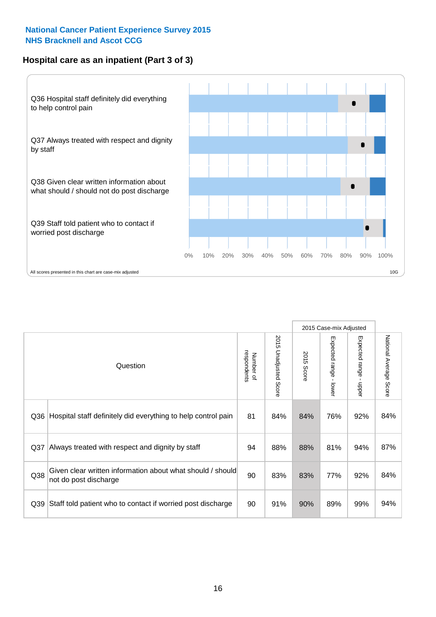# **Hospital care as an inpatient (Part 3 of 3)**



|                 |                                                                                     |                          |                             |               | 2015 Case-mix Adjusted                    |                        |                        |
|-----------------|-------------------------------------------------------------------------------------|--------------------------|-----------------------------|---------------|-------------------------------------------|------------------------|------------------------|
|                 | Question                                                                            | respondents<br>Number of | 2015<br>Unadjusted<br>Score | 2015<br>Score | Expected range<br>$\blacksquare$<br>lower | Expected range - upper | National Average Score |
| Q36             | Hospital staff definitely did everything to help control pain                       | 81                       | 84%                         | 84%           | 76%                                       | 92%                    | 84%                    |
| Q <sub>37</sub> | Always treated with respect and dignity by staff                                    | 94                       | 88%                         | 88%           | 81%                                       | 94%                    | 87%                    |
| Q38             | Given clear written information about what should / should<br>not do post discharge | 90                       | 83%                         | 83%           | 77%                                       | 92%                    | 84%                    |
| Q39             | Staff told patient who to contact if worried post discharge                         | 90                       | 91%                         | 90%           | 89%                                       | 99%                    | 94%                    |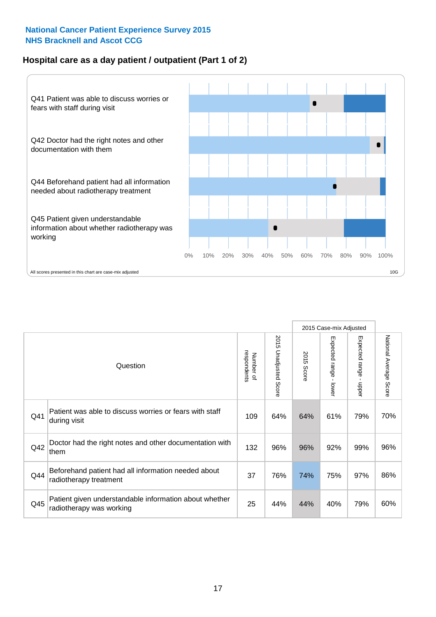# **Hospital care as a day patient / outpatient (Part 1 of 2)**



|     |                                                                                    |                          |                          | 2015 Case-mix Adjusted |                                         |                                           |                        |
|-----|------------------------------------------------------------------------------------|--------------------------|--------------------------|------------------------|-----------------------------------------|-------------------------------------------|------------------------|
|     | Question                                                                           | respondents<br>Number of | 2015<br>Unadjusted Score | 2015<br>Score          | Expected range<br>$\mathbf{r}$<br>lower | Expected range<br>$\blacksquare$<br>nbber | National Average Score |
| Q41 | Patient was able to discuss worries or fears with staff<br>during visit            | 109                      | 64%                      | 64%                    | 61%                                     | 79%                                       | 70%                    |
| Q42 | Doctor had the right notes and other documentation with<br>them                    | 132                      | 96%                      | 96%                    | 92%                                     | 99%                                       | 96%                    |
| Q44 | Beforehand patient had all information needed about<br>radiotherapy treatment      | 37                       | 76%                      | 74%                    | 75%                                     | 97%                                       | 86%                    |
| Q45 | Patient given understandable information about whether<br>radiotherapy was working | 25                       | 44%                      | 44%                    | 40%                                     | 79%                                       | 60%                    |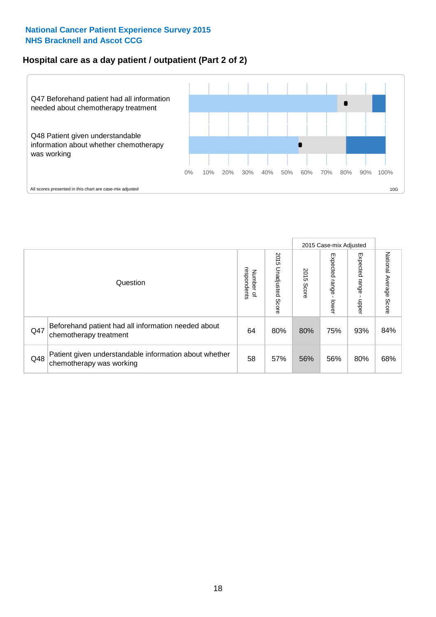# **Hospital care as a day patient / outpatient (Part 2 of 2)**



|     |                                                                                    |                                       |                             | 2015 Case-mix Adjusted |                             |                         |                           |
|-----|------------------------------------------------------------------------------------|---------------------------------------|-----------------------------|------------------------|-----------------------------|-------------------------|---------------------------|
|     | Question                                                                           | respondents<br>Number<br>$\mathbf{Q}$ | 2015<br>Unadjusted<br>Score | 2015<br>Score          | Expected<br>Irange<br>lower | Expected range<br>doper | National Average<br>Score |
| Q47 | Beforehand patient had all information needed about<br>chemotherapy treatment      | 64                                    | 80%                         | 80%                    | 75%                         | 93%                     | 84%                       |
| Q48 | Patient given understandable information about whether<br>chemotherapy was working | 58                                    | 57%                         | 56%                    | 56%                         | 80%                     | 68%                       |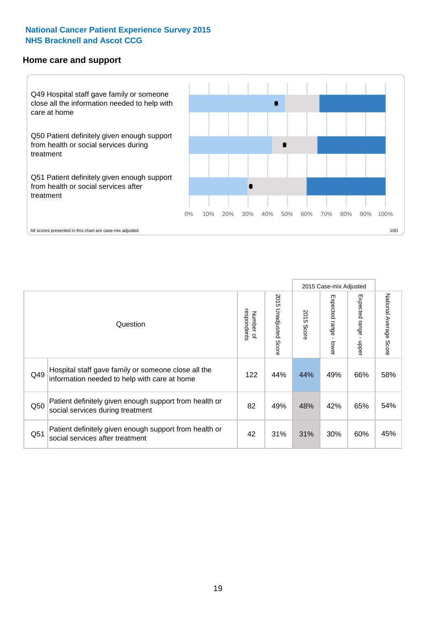#### **Home care and support**



|     |                                                                                                     |                          |                          | 2015 Case-mix Adjusted |                         |                        |                                  |
|-----|-----------------------------------------------------------------------------------------------------|--------------------------|--------------------------|------------------------|-------------------------|------------------------|----------------------------------|
|     | Question                                                                                            | respondents<br>Number of | 2015<br>Unadjusted Score | 2015<br>Score          | Expected range<br>lower | Expected range<br>ddau | National Average<br><b>Score</b> |
| Q49 | Hospital staff gave family or someone close all the<br>information needed to help with care at home | 122                      | 44%                      | 44%                    | 49%                     | 66%                    | 58%                              |
| Q50 | Patient definitely given enough support from health or<br>social services during treatment          | 82                       | 49%                      | 48%                    | 42%                     | 65%                    | 54%                              |
| Q51 | Patient definitely given enough support from health or<br>social services after treatment           | 42                       | 31%                      | 31%                    | 30%                     | 60%                    | 45%                              |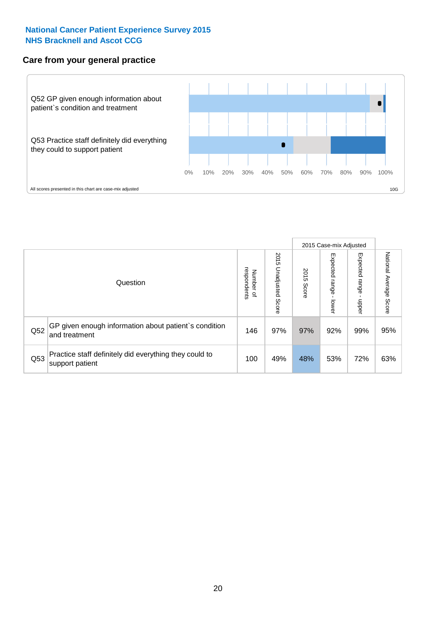## **Care from your general practice**



|     |                                                                           |                                       |                             | 2015 Case-mix Adjusted |                                    |                            |                           |
|-----|---------------------------------------------------------------------------|---------------------------------------|-----------------------------|------------------------|------------------------------------|----------------------------|---------------------------|
|     | Question                                                                  | respondents<br>Number<br>$\mathbf{Q}$ | 2015<br>Unadjusted<br>Score | 2015<br>Score          | Expected<br><b>Irange</b><br>lower | Expected<br>range<br>doper | National Average<br>Score |
| Q52 | GP given enough information about patient's condition<br>and treatment    | 146                                   | 97%                         | 97%                    | 92%                                | 99%                        | 95%                       |
| Q53 | Practice staff definitely did everything they could to<br>support patient | 100                                   | 49%                         | 48%                    | 53%                                | 72%                        | 63%                       |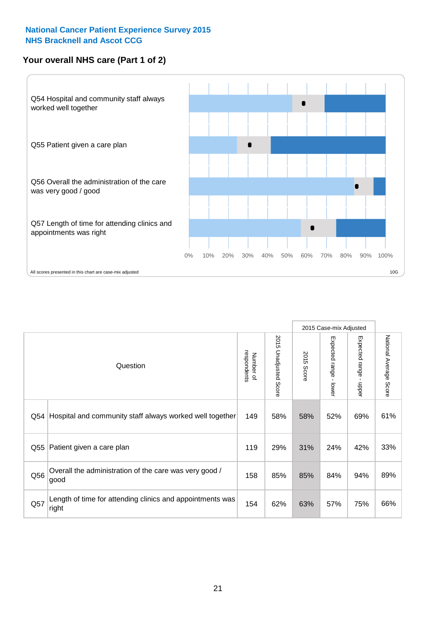# **Your overall NHS care (Part 1 of 2)**



|     |                                                                    |                          |                          |               | 2015 Case-mix Adjusted                  |                                           |                        |
|-----|--------------------------------------------------------------------|--------------------------|--------------------------|---------------|-----------------------------------------|-------------------------------------------|------------------------|
|     | Question                                                           | respondents<br>Number of | 2015<br>Unadjusted Score | 2015<br>Score | Expected range<br>$\mathbf{I}$<br>lower | Expected range<br>$\blacksquare$<br>nbber | National Average Score |
| Q54 | Hospital and community staff always worked well together           | 149                      | 58%                      | 58%           | 52%                                     | 69%                                       | 61%                    |
| Q55 | Patient given a care plan                                          | 119                      | 29%                      | 31%           | 24%                                     | 42%                                       | 33%                    |
| Q56 | Overall the administration of the care was very good /<br>good     | 158                      | 85%                      | 85%           | 84%                                     | 94%                                       | 89%                    |
| Q57 | Length of time for attending clinics and appointments was<br>right | 154                      | 62%                      | 63%           | 57%                                     | 75%                                       | 66%                    |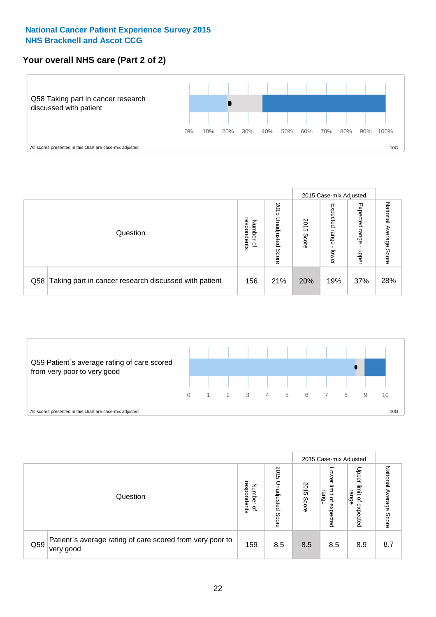# **Your overall NHS care (Part 2 of 2)**



|     |                                                       |                                              |                             |               |                            | 2015 Case-mix Adjusted     |                        |
|-----|-------------------------------------------------------|----------------------------------------------|-----------------------------|---------------|----------------------------|----------------------------|------------------------|
|     | Question                                              | respondents<br>Number<br>$\overline{\sigma}$ | 2015<br>Unadjusted<br>Score | 2015<br>Score | Expected<br>range<br>lower | Expected<br>range<br>doper | National Average Score |
| Q58 | Taking part in cancer research discussed with patient | 156                                          | 21%                         | 20%           | 19%                        | 37%                        | 28%                    |



|     |                                                                        |                                   |                             |               |                                                           | 2015 Case-mix Adjusted                                |                              |
|-----|------------------------------------------------------------------------|-----------------------------------|-----------------------------|---------------|-----------------------------------------------------------|-------------------------------------------------------|------------------------------|
|     | Question                                                               | respondents<br>Number<br>$\Omega$ | 2015<br>Jnadjusted<br>Score | 2015<br>Score | OWer<br>limit<br>range<br>$\overline{\sigma}$<br>expected | Upper<br>limit<br>range<br>$\overline{a}$<br>expected | National<br>Average<br>Score |
| Q59 | Patient's average rating of care scored from very poor to<br>very good | 159                               | 8.5                         | 8.5           | 8.5                                                       | 8.9                                                   | 8.7                          |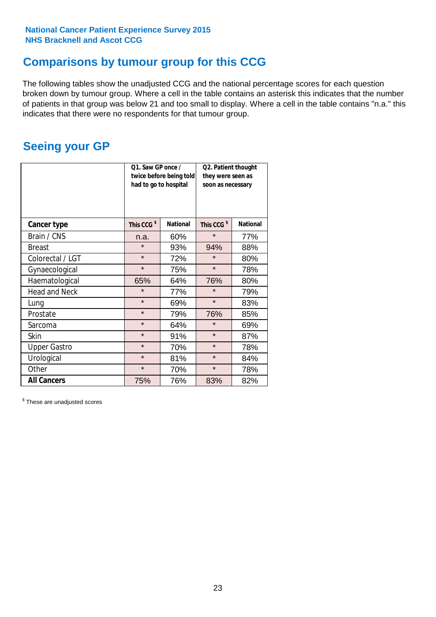# **Comparisons by tumour group for this CCG**

The following tables show the unadjusted CCG and the national percentage scores for each question broken down by tumour group. Where a cell in the table contains an asterisk this indicates that the number of patients in that group was below 21 and too small to display. Where a cell in the table contains "n.a." this indicates that there were no respondents for that tumour group.

# **Seeing your GP**

|                      | Q1. Saw GP once /<br>had to go to hospital | twice before being told | Q2. Patient thought<br>they were seen as<br>soon as necessary |                 |  |
|----------------------|--------------------------------------------|-------------------------|---------------------------------------------------------------|-----------------|--|
| <b>Cancer type</b>   | This CCG <sup>\$</sup>                     | <b>National</b>         | This CCG <sup>\$</sup>                                        | <b>National</b> |  |
| Brain / CNS          | n.a.                                       | 60%                     | $\star$                                                       | 77%             |  |
| <b>Breast</b>        | $\star$                                    | 93%                     | 94%                                                           | 88%             |  |
| Colorectal / LGT     | $\star$                                    | 72%                     | $\star$                                                       | 80%             |  |
| Gynaecological       | $\star$                                    | 75%                     | $\star$                                                       | 78%             |  |
| Haematological       | 65%                                        | 64%                     | 76%                                                           | 80%             |  |
| <b>Head and Neck</b> | $\star$                                    | 77%                     | $\star$                                                       | 79%             |  |
| Lung                 | $\star$                                    | 69%                     | $\star$                                                       | 83%             |  |
| Prostate             | $\star$                                    | 79%                     | 76%                                                           | 85%             |  |
| Sarcoma              | $\star$                                    | 64%                     | $\star$                                                       | 69%             |  |
| Skin                 | $\star$                                    | 91%                     | $\star$                                                       | 87%             |  |
| <b>Upper Gastro</b>  | $\star$                                    | 70%                     | $\star$                                                       | 78%             |  |
| Urological           | $\star$                                    | 81%                     | $\star$                                                       | 84%             |  |
| Other                | $\star$                                    | 70%                     | $\star$                                                       | 78%             |  |
| <b>All Cancers</b>   | 75%                                        | 76%                     | 83%                                                           | 82%             |  |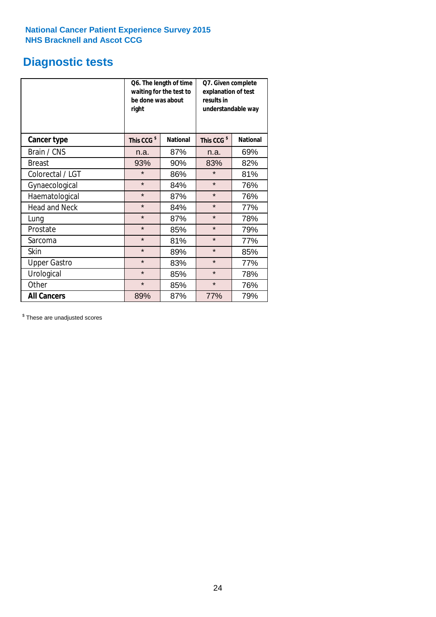# **Diagnostic tests**

|                      | be done was about<br>right | Q6. The length of time<br>waiting for the test to | Q7. Given complete<br>explanation of test<br>results in<br>understandable way |                 |  |
|----------------------|----------------------------|---------------------------------------------------|-------------------------------------------------------------------------------|-----------------|--|
| <b>Cancer type</b>   | This CCG <sup>\$</sup>     | <b>National</b>                                   | This CCG <sup>\$</sup>                                                        | <b>National</b> |  |
| Brain / CNS          | n.a.                       | 87%                                               | n.a.                                                                          | 69%             |  |
| <b>Breast</b>        | 93%                        | 90%                                               | 83%                                                                           | 82%             |  |
| Colorectal / LGT     | $\star$                    | 86%                                               | $\star$                                                                       | 81%             |  |
| Gynaecological       | $\star$                    | 84%                                               |                                                                               | 76%             |  |
| Haematological       | $\star$                    | 87%                                               |                                                                               | 76%             |  |
| <b>Head and Neck</b> | $\star$                    | 84%                                               | $\star$                                                                       | 77%             |  |
| Lung                 | $\star$                    | 87%                                               | $\star$                                                                       | 78%             |  |
| Prostate             | $\star$                    | 85%                                               | $\star$                                                                       | 79%             |  |
| Sarcoma              | $\star$                    | 81%                                               | $\star$                                                                       | 77%             |  |
| Skin                 | $\star$                    | 89%                                               | $\star$                                                                       | 85%             |  |
| <b>Upper Gastro</b>  | $\star$                    | 83%                                               | $\star$                                                                       | 77%             |  |
| Urological           | $\star$                    | 85%                                               | $\star$                                                                       | 78%             |  |
| Other                | $\star$                    | 85%                                               | $\star$                                                                       | 76%             |  |
| <b>All Cancers</b>   | 89%                        | 87%                                               | 77%                                                                           | 79%             |  |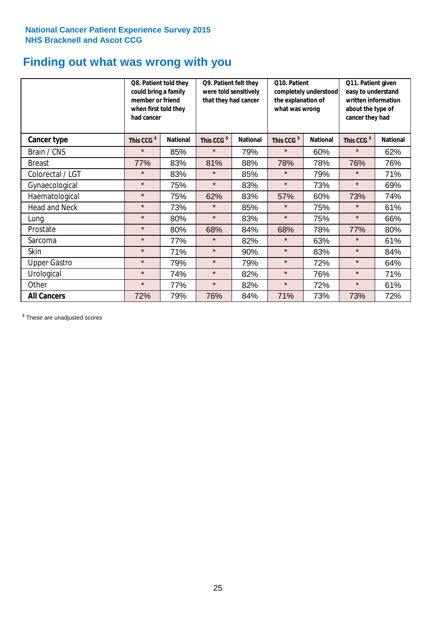# **Finding out what was wrong with you**

|                      | Q8. Patient told they<br>could bring a family<br>member or friend<br>when first told they<br>had cancer |                 | Q9. Patient felt they<br>were told sensitively<br>that they had cancer |                 | Q10. Patient<br>completely understood<br>the explanation of<br>what was wrong |                 | Q11. Patient given<br>easy to understand<br>written information<br>about the type of<br>cancer they had |                 |
|----------------------|---------------------------------------------------------------------------------------------------------|-----------------|------------------------------------------------------------------------|-----------------|-------------------------------------------------------------------------------|-----------------|---------------------------------------------------------------------------------------------------------|-----------------|
| Cancer type          | This CCG <sup>\$</sup>                                                                                  | <b>National</b> | This CCG <sup>\$</sup>                                                 | <b>National</b> | This CCG <sup>\$</sup>                                                        | <b>National</b> | This CCG <sup>\$</sup>                                                                                  | <b>National</b> |
| Brain / CNS          | $\star$                                                                                                 | 85%             | $\star$                                                                | 79%             | $\star$                                                                       | 60%             | $\star$                                                                                                 | 62%             |
| <b>Breast</b>        | 77%                                                                                                     | 83%             | 81%                                                                    | 88%             | 78%                                                                           | 78%             | 76%                                                                                                     | 76%             |
| Colorectal / LGT     | $\star$                                                                                                 | 83%             | $\star$                                                                | 85%             | $\star$                                                                       | 79%             | $\star$                                                                                                 | 71%             |
| Gynaecological       | $\star$                                                                                                 | 75%             | $\star$                                                                | 83%             | $\star$                                                                       | 73%             | $\star$                                                                                                 | 69%             |
| Haematological       | $\star$                                                                                                 | 75%             | 62%                                                                    | 83%             | 57%                                                                           | 60%             | 73%                                                                                                     | 74%             |
| <b>Head and Neck</b> | $\star$                                                                                                 | 73%             | $\star$                                                                | 85%             | $\star$                                                                       | 75%             | $\star$                                                                                                 | 61%             |
| Lung                 | $\star$                                                                                                 | 80%             | $\star$                                                                | 83%             | $\star$                                                                       | 75%             | $\star$                                                                                                 | 66%             |
| Prostate             | $\star$                                                                                                 | 80%             | 68%                                                                    | 84%             | 68%                                                                           | 78%             | 77%                                                                                                     | 80%             |
| Sarcoma              | $\star$                                                                                                 | 77%             | $\star$                                                                | 82%             | $\star$                                                                       | 63%             | $\star$                                                                                                 | 61%             |
| Skin                 | $\star$                                                                                                 | 71%             | $\star$                                                                | 90%             | $\star$                                                                       | 83%             | $\star$                                                                                                 | 84%             |
| <b>Upper Gastro</b>  | $\star$                                                                                                 | 79%             | $\star$                                                                | 79%             | $\star$                                                                       | 72%             | $\star$                                                                                                 | 64%             |
| Urological           | $\star$                                                                                                 | 74%             | $\star$                                                                | 82%             | $\star$                                                                       | 76%             | $\star$                                                                                                 | 71%             |
| Other                | $\star$                                                                                                 | 77%             | $\star$                                                                | 82%             | $\star$                                                                       | 72%             | $\star$                                                                                                 | 61%             |
| <b>All Cancers</b>   | 72%                                                                                                     | 79%             | 76%                                                                    | 84%             | 71%                                                                           | 73%             | 73%                                                                                                     | 72%             |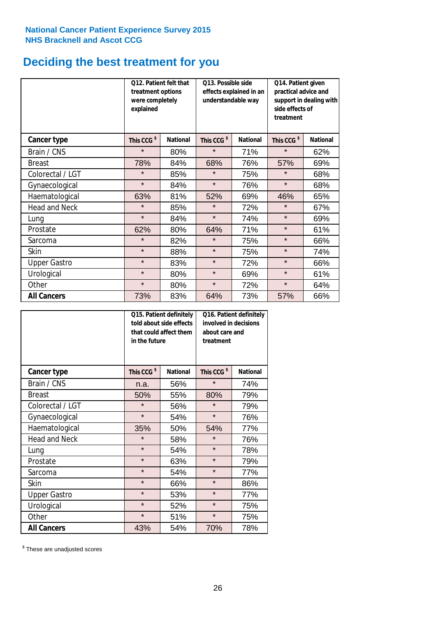# **Deciding the best treatment for you**

|                      | <b>O12. Patient felt that</b><br>treatment options<br>were completely<br>explained |                 | O13. Possible side<br>understandable way | effects explained in an | Q14. Patient given<br>practical advice and<br>support in dealing with<br>side effects of<br>treatment |                 |  |
|----------------------|------------------------------------------------------------------------------------|-----------------|------------------------------------------|-------------------------|-------------------------------------------------------------------------------------------------------|-----------------|--|
| <b>Cancer type</b>   | This CCG <sup>\$</sup>                                                             | <b>National</b> | This CCG <sup>\$</sup>                   | <b>National</b>         | This CCG <sup>\$</sup>                                                                                | <b>National</b> |  |
| Brain / CNS          | $\star$                                                                            | 80%             | $\star$                                  | 71%                     | $\star$                                                                                               | 62%             |  |
| <b>Breast</b>        | 78%                                                                                | 84%             | 68%                                      | 76%                     | 57%                                                                                                   | 69%             |  |
| Colorectal / LGT     | $\star$                                                                            | 85%             | $\star$                                  | 75%                     | $\star$                                                                                               | 68%             |  |
| Gynaecological       | $\star$                                                                            | 84%             | $\star$                                  | 76%                     | $\star$                                                                                               | 68%             |  |
| Haematological       | 63%                                                                                | 81%             | 52%                                      | 69%                     | 46%                                                                                                   | 65%             |  |
| <b>Head and Neck</b> | $\star$                                                                            | 85%             | $\star$                                  | 72%                     | $\star$                                                                                               | 67%             |  |
| Lung                 | $\star$                                                                            | 84%             | $\star$                                  | 74%                     | $\star$                                                                                               | 69%             |  |
| Prostate             | 62%                                                                                | 80%             | 64%                                      | 71%                     | $\star$                                                                                               | 61%             |  |
| Sarcoma              | $\star$                                                                            | 82%             | $\star$                                  | 75%                     | $\star$                                                                                               | 66%             |  |
| Skin                 | $\star$                                                                            | 88%             | $\star$                                  | 75%                     | $\star$                                                                                               | 74%             |  |
| <b>Upper Gastro</b>  | $\star$                                                                            | 83%             | $\star$                                  | 72%                     | $\star$                                                                                               | 66%             |  |
| Urological           | $\star$                                                                            | 80%             | $\star$                                  | 69%                     | $\star$                                                                                               | 61%             |  |
| Other                | $\star$                                                                            | 80%             | $\star$                                  | 72%                     | $\star$                                                                                               | 64%             |  |
| <b>All Cancers</b>   | 73%                                                                                | 83%             | 64%                                      | 73%                     | 57%                                                                                                   | 66%             |  |

|                      | in the future          | Q15. Patient definitely<br>told about side effects<br>that could affect them | Q16. Patient definitely<br>involved in decisions<br>about care and<br>treatment |                 |  |
|----------------------|------------------------|------------------------------------------------------------------------------|---------------------------------------------------------------------------------|-----------------|--|
| <b>Cancer type</b>   | This CCG <sup>\$</sup> | <b>National</b>                                                              | This CCG <sup>\$</sup>                                                          | <b>National</b> |  |
| Brain / CNS          | n.a.                   | 56%                                                                          | $\star$                                                                         | 74%             |  |
| <b>Breast</b>        | 50%                    | 55%                                                                          | 80%                                                                             | 79%             |  |
| Colorectal / LGT     | $\star$                | 56%                                                                          | $\star$                                                                         | 79%             |  |
| Gynaecological       | $\star$<br>54%         |                                                                              | $\star$                                                                         | 76%             |  |
| Haematological       | 50%<br>35%             |                                                                              | 54%                                                                             | 77%             |  |
| <b>Head and Neck</b> | $\star$                | 58%                                                                          | $\star$                                                                         | 76%             |  |
| Lung                 | $\star$                | 54%                                                                          | $\star$                                                                         | 78%             |  |
| Prostate             | $\star$                | 63%                                                                          | $\star$                                                                         | 79%             |  |
| Sarcoma              | $\star$                | 54%                                                                          | $\star$                                                                         | 77%             |  |
| Skin                 | $\star$                | 66%                                                                          | $\star$                                                                         | 86%             |  |
| <b>Upper Gastro</b>  | $\star$                | 53%                                                                          | $\star$                                                                         | 77%             |  |
| Urological           | $\star$                | 52%                                                                          | $\star$                                                                         | 75%             |  |
| Other                | $\star$                | 51%                                                                          | $\star$                                                                         | 75%             |  |
| <b>All Cancers</b>   | 43%                    | 54%                                                                          | 70%                                                                             | 78%             |  |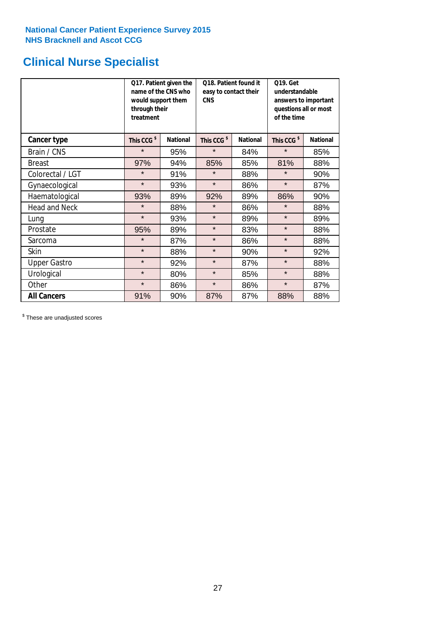# **Clinical Nurse Specialist**

|                      | would support them<br>through their<br>treatment | Q17. Patient given the<br>name of the CNS who | Q18. Patient found it<br>easy to contact their<br><b>CNS</b> |                 | <b>Q19. Get</b><br>understandable<br>answers to important<br>questions all or most<br>of the time |                 |
|----------------------|--------------------------------------------------|-----------------------------------------------|--------------------------------------------------------------|-----------------|---------------------------------------------------------------------------------------------------|-----------------|
| <b>Cancer type</b>   | This CCG <sup>\$</sup>                           | <b>National</b>                               | This CCG <sup>\$</sup>                                       | <b>National</b> | This CCG <sup>\$</sup>                                                                            | <b>National</b> |
| Brain / CNS          | $\star$                                          | 95%                                           | $\star$                                                      | 84%             | $\star$                                                                                           | 85%             |
| <b>Breast</b>        | 97%                                              | 94%                                           | 85%                                                          | 85%             | 81%                                                                                               | 88%             |
| Colorectal / LGT     | $\star$                                          | 91%                                           | $\star$                                                      | 88%             | $\star$                                                                                           | 90%             |
| Gynaecological       | $\star$                                          | 93%                                           | $\star$                                                      | 86%             | $\star$                                                                                           | 87%             |
| Haematological       | 93%                                              | 89%                                           | 92%                                                          | 89%             | 86%                                                                                               | 90%             |
| <b>Head and Neck</b> | $\star$                                          | 88%                                           | $\star$                                                      | 86%             | $\star$                                                                                           | 88%             |
| Lung                 | $\star$                                          | 93%                                           | $\star$                                                      | 89%             | $\star$                                                                                           | 89%             |
| Prostate             | 95%                                              | 89%                                           | $\star$                                                      | 83%             | $\star$                                                                                           | 88%             |
| Sarcoma              | $\star$                                          | 87%                                           | $\star$                                                      | 86%             | $\star$                                                                                           | 88%             |
| Skin                 | $\star$                                          | 88%                                           | $\star$                                                      | 90%             | $\star$                                                                                           | 92%             |
| <b>Upper Gastro</b>  | $\star$                                          | 92%                                           | $\star$                                                      | 87%             | $\star$                                                                                           | 88%             |
| Urological           | $\star$                                          | 80%                                           | $\star$                                                      | 85%             | $\star$                                                                                           | 88%             |
| Other                | $\star$                                          | 86%                                           | $\star$                                                      | 86%             | $\star$                                                                                           | 87%             |
| <b>All Cancers</b>   | 91%                                              | 90%                                           | 87%                                                          | 87%             | 88%                                                                                               | 88%             |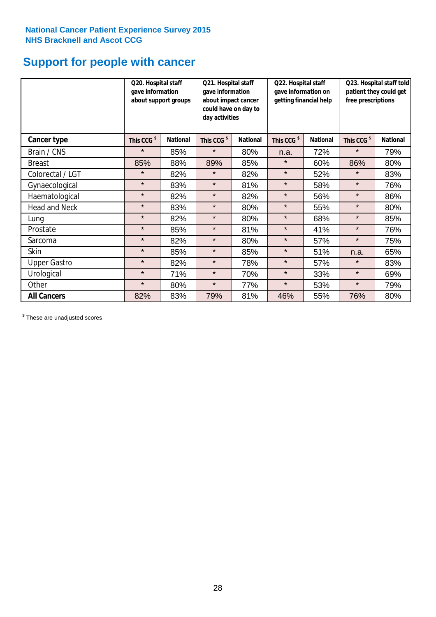# **Support for people with cancer**

|                      | Q20. Hospital staff<br>gave information<br>about support groups |                 | Q21. Hospital staff<br>gave information<br>about impact cancer<br>could have on day to<br>day activities |                 |                        | Q22. Hospital staff<br>gave information on<br>getting financial help |                        | Q23. Hospital staff told<br>patient they could get<br>free prescriptions |  |
|----------------------|-----------------------------------------------------------------|-----------------|----------------------------------------------------------------------------------------------------------|-----------------|------------------------|----------------------------------------------------------------------|------------------------|--------------------------------------------------------------------------|--|
| <b>Cancer type</b>   | This CCG <sup>\$</sup>                                          | <b>National</b> | This CCG <sup>\$</sup>                                                                                   | <b>National</b> | This CCG <sup>\$</sup> | <b>National</b>                                                      | This CCG <sup>\$</sup> | <b>National</b>                                                          |  |
| Brain / CNS          | $\star$                                                         | 85%             | $\star$                                                                                                  | 80%             | n.a.                   | 72%                                                                  | $\star$                | 79%                                                                      |  |
| <b>Breast</b>        | 85%                                                             | 88%             | 89%                                                                                                      | 85%             | $\star$                | 60%                                                                  | 86%                    | 80%                                                                      |  |
| Colorectal / LGT     | $\star$                                                         | 82%             | $\star$                                                                                                  | 82%             | $\star$                | 52%                                                                  | $\star$                | 83%                                                                      |  |
| Gynaecological       | $\star$                                                         | 83%             | $\star$                                                                                                  | 81%             | $\star$                | 58%                                                                  | $\star$                | 76%                                                                      |  |
| Haematological       | $\star$                                                         | 82%             | $\star$                                                                                                  | 82%             | $\star$                | 56%                                                                  | $\star$                | 86%                                                                      |  |
| <b>Head and Neck</b> | $\star$                                                         | 83%             | $\star$                                                                                                  | 80%             | $\star$                | 55%                                                                  | $\star$                | 80%                                                                      |  |
| Lung                 | $\star$                                                         | 82%             | $\star$                                                                                                  | 80%             | $\star$                | 68%                                                                  | $\star$                | 85%                                                                      |  |
| Prostate             | $\star$                                                         | 85%             | $\star$                                                                                                  | 81%             | $\star$                | 41%                                                                  | $\star$                | 76%                                                                      |  |
| Sarcoma              | $\star$                                                         | 82%             | $\star$                                                                                                  | 80%             | $\star$                | 57%                                                                  | $\star$                | 75%                                                                      |  |
| Skin                 | $\star$                                                         | 85%             | $\star$                                                                                                  | 85%             | $\star$                | 51%                                                                  | n.a.                   | 65%                                                                      |  |
| <b>Upper Gastro</b>  | $\star$                                                         | 82%             | $\star$                                                                                                  | 78%             | $\star$                | 57%                                                                  | $\star$                | 83%                                                                      |  |
| Urological           | $\star$                                                         | 71%             | $\star$                                                                                                  | 70%             | $\star$                | 33%                                                                  | $\star$                | 69%                                                                      |  |
| Other                | $\star$                                                         | 80%             | $\star$                                                                                                  | 77%             | $\star$                | 53%                                                                  | $\star$                | 79%                                                                      |  |
| <b>All Cancers</b>   | 82%                                                             | 83%             | 79%                                                                                                      | 81%             | 46%                    | 55%                                                                  | 76%                    | 80%                                                                      |  |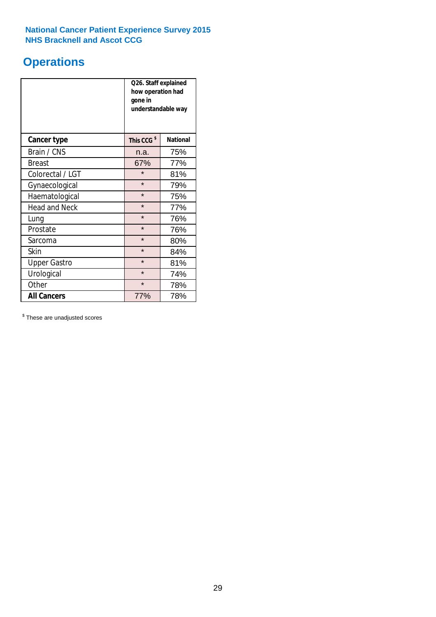# **Operations**

|                      | Q26. Staff explained<br>how operation had<br>gone in<br>understandable way |                 |  |  |
|----------------------|----------------------------------------------------------------------------|-----------------|--|--|
| <b>Cancer type</b>   | This CCG <sup>\$</sup>                                                     | <b>National</b> |  |  |
| Brain / CNS          | n.a.                                                                       | 75%             |  |  |
| <b>Breast</b>        | 67%                                                                        | 77%             |  |  |
| Colorectal / LGT     | $\star$                                                                    | 81%             |  |  |
| Gynaecological       | $\star$                                                                    | 79%             |  |  |
| Haematological       | $\star$<br>75%                                                             |                 |  |  |
| <b>Head and Neck</b> | $\star$                                                                    | 77%             |  |  |
| Lung                 | $\star$                                                                    | 76%             |  |  |
| Prostate             | $\star$                                                                    | 76%             |  |  |
| Sarcoma              | $\star$                                                                    | 80%             |  |  |
| Skin                 | $\star$                                                                    | 84%             |  |  |
| <b>Upper Gastro</b>  | $\star$                                                                    | 81%             |  |  |
| Urological           | $\star$                                                                    | 74%             |  |  |
| Other                | $\star$<br>78%                                                             |                 |  |  |
| <b>All Cancers</b>   | 77%                                                                        | 78%             |  |  |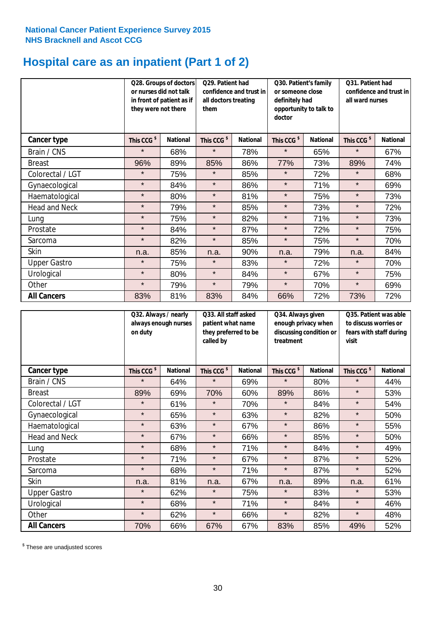# **Hospital care as an inpatient (Part 1 of 2)**

|                      | or nurses did not talk<br>they were not there | Q28. Groups of doctors<br>in front of patient as if | Q29. Patient had<br>confidence and trust in<br>all doctors treating<br>them |                 | Q30. Patient's family<br>or someone close<br>definitely had<br>opportunity to talk to<br>doctor |                 | Q31. Patient had<br>confidence and trust in  <br>all ward nurses |                 |
|----------------------|-----------------------------------------------|-----------------------------------------------------|-----------------------------------------------------------------------------|-----------------|-------------------------------------------------------------------------------------------------|-----------------|------------------------------------------------------------------|-----------------|
| Cancer type          | This CCG <sup>\$</sup>                        | <b>National</b>                                     | This CCG <sup>\$</sup>                                                      | <b>National</b> | This CCG <sup>\$</sup>                                                                          | <b>National</b> | This CCG <sup>\$</sup>                                           | <b>National</b> |
| Brain / CNS          | $\star$                                       | 68%                                                 | $\star$                                                                     | 78%             | $\star$                                                                                         | 65%             | $\star$                                                          | 67%             |
| <b>Breast</b>        | 96%                                           | 89%                                                 | 85%                                                                         | 86%             | 77%                                                                                             | 73%             | 89%                                                              | 74%             |
| Colorectal / LGT     | $\star$                                       | 75%                                                 | $\star$                                                                     | 85%             | $\star$                                                                                         | 72%             | $\star$                                                          | 68%             |
| Gynaecological       | $\star$                                       | 84%                                                 | $\star$                                                                     | 86%             | $\star$                                                                                         | 71%             | $\star$                                                          | 69%             |
| Haematological       | $\star$                                       | 80%                                                 | $\star$                                                                     | 81%             | $\star$                                                                                         | 75%             | $\star$                                                          | 73%             |
| <b>Head and Neck</b> | $\star$                                       | 79%                                                 | $\star$                                                                     | 85%             | $\star$                                                                                         | 73%             | $\star$                                                          | 72%             |
| Lung                 | $\star$                                       | 75%                                                 | $\star$                                                                     | 82%             | $\star$                                                                                         | 71%             | $\star$                                                          | 73%             |
| Prostate             | $\star$                                       | 84%                                                 | $\star$                                                                     | 87%             | $\star$                                                                                         | 72%             | $\star$                                                          | 75%             |
| Sarcoma              | $\star$                                       | 82%                                                 | $\star$                                                                     | 85%             | $\star$                                                                                         | 75%             | $\star$                                                          | 70%             |
| Skin                 | n.a.                                          | 85%                                                 | n.a.                                                                        | 90%             | n.a.                                                                                            | 79%             | n.a.                                                             | 84%             |
| <b>Upper Gastro</b>  | $\star$                                       | 75%                                                 | $\star$                                                                     | 83%             | $\star$                                                                                         | 72%             | $\star$                                                          | 70%             |
| Urological           | $\star$                                       | 80%                                                 | $\star$                                                                     | 84%             | $\star$                                                                                         | 67%             | $\star$                                                          | 75%             |
| Other                | $\star$                                       | 79%                                                 | $\star$                                                                     | 79%             | $\star$                                                                                         | 70%             | $\star$                                                          | 69%             |
| <b>All Cancers</b>   | 83%                                           | 81%                                                 | 83%                                                                         | 84%             | 66%                                                                                             | 72%             | 73%                                                              | 72%             |

|                      | Q32. Always / nearly<br>always enough nurses<br>on duty |                 | called by              | Q33. All staff asked<br>patient what name<br>they preferred to be |                        | Q34. Always given<br>enough privacy when<br>discussing condition or<br>treatment |                        | Q35. Patient was able<br>to discuss worries or<br>fears with staff during<br>visit |  |
|----------------------|---------------------------------------------------------|-----------------|------------------------|-------------------------------------------------------------------|------------------------|----------------------------------------------------------------------------------|------------------------|------------------------------------------------------------------------------------|--|
| <b>Cancer type</b>   | This CCG <sup>\$</sup>                                  | <b>National</b> | This CCG <sup>\$</sup> | <b>National</b>                                                   | This CCG <sup>\$</sup> | <b>National</b>                                                                  | This CCG <sup>\$</sup> | <b>National</b>                                                                    |  |
| Brain / CNS          | $\star$                                                 | 64%             | $\star$                | 69%                                                               | $\star$                | 80%                                                                              | $\star$                | 44%                                                                                |  |
| <b>Breast</b>        | 89%                                                     | 69%             | 70%                    | 60%                                                               | 89%                    | 86%                                                                              | $\star$                | 53%                                                                                |  |
| Colorectal / LGT     | $\star$                                                 | 61%             | $\star$                | 70%                                                               | $\star$                | 84%                                                                              | $\star$                | 54%                                                                                |  |
| Gynaecological       | $\star$                                                 | 65%             | $\star$                | 63%                                                               | $\star$                | 82%                                                                              | $\star$                | 50%                                                                                |  |
| Haematological       | $\star$                                                 | 63%             | $\star$                | 67%                                                               | $\star$                | 86%                                                                              | $\star$                | 55%                                                                                |  |
| <b>Head and Neck</b> | $\star$                                                 | 67%             | $\star$                | 66%                                                               | $\star$                | 85%                                                                              | $\star$                | 50%                                                                                |  |
| Lung                 | $\star$                                                 | 68%             | $\star$                | 71%                                                               | $\star$                | 84%                                                                              | $\star$                | 49%                                                                                |  |
| Prostate             | $\star$                                                 | 71%             | $\star$                | 67%                                                               | $\star$                | 87%                                                                              | $\star$                | 52%                                                                                |  |
| Sarcoma              | $\star$                                                 | 68%             | $\star$                | 71%                                                               | $\star$                | 87%                                                                              | $\star$                | 52%                                                                                |  |
| Skin                 | n.a.                                                    | 81%             | n.a.                   | 67%                                                               | n.a.                   | 89%                                                                              | n.a.                   | 61%                                                                                |  |
| <b>Upper Gastro</b>  | $\star$                                                 | 62%             | $\star$                | 75%                                                               | $\star$                | 83%                                                                              | $\star$                | 53%                                                                                |  |
| Urological           | $\star$                                                 | 68%             | $\star$                | 71%                                                               | $\star$                | 84%                                                                              | $\star$                | 46%                                                                                |  |
| Other                | $\star$                                                 | 62%             | $\star$                | 66%                                                               | $\star$                | 82%                                                                              | $\star$                | 48%                                                                                |  |
| <b>All Cancers</b>   | 70%                                                     | 66%             | 67%                    | 67%                                                               | 83%                    | 85%                                                                              | 49%                    | 52%                                                                                |  |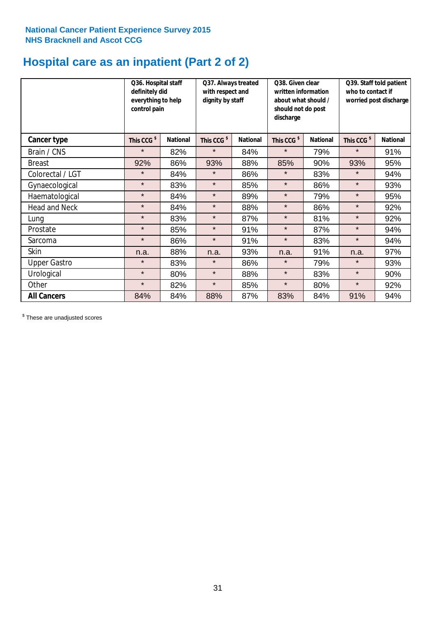# **Hospital care as an inpatient (Part 2 of 2)**

|                      | Q36. Hospital staff<br>definitely did<br>everything to help<br>control pain |                 | Q37. Always treated<br>with respect and<br>dignity by staff |                 | Q38. Given clear<br>written information<br>about what should /<br>should not do post<br>discharge |                 | Q39. Staff told patient<br>who to contact if<br>worried post discharge |                 |  |
|----------------------|-----------------------------------------------------------------------------|-----------------|-------------------------------------------------------------|-----------------|---------------------------------------------------------------------------------------------------|-----------------|------------------------------------------------------------------------|-----------------|--|
| Cancer type          | This CCG <sup>\$</sup>                                                      | <b>National</b> | This CCG <sup>\$</sup>                                      | <b>National</b> | This CCG <sup>\$</sup>                                                                            | <b>National</b> | This CCG <sup>\$</sup>                                                 | <b>National</b> |  |
| Brain / CNS          | $\star$                                                                     | 82%             | $\star$                                                     | 84%             | $\star$                                                                                           | 79%             | $\star$                                                                | 91%             |  |
| <b>Breast</b>        | 92%                                                                         | 86%             | 93%                                                         | 88%             | 85%                                                                                               | 90%             | 93%                                                                    | 95%             |  |
| Colorectal / LGT     | $\star$                                                                     | 84%             | $\star$                                                     | 86%             | $\star$                                                                                           | 83%             | $\star$                                                                | 94%             |  |
| Gynaecological       | $\star$                                                                     | 83%             | $\star$                                                     | 85%             | $\star$                                                                                           | 86%             | $\star$                                                                | 93%             |  |
| Haematological       | $\star$                                                                     | 84%             | $\star$                                                     | 89%             | $\star$                                                                                           | 79%             | $\star$                                                                | 95%             |  |
| <b>Head and Neck</b> | $\star$                                                                     | 84%             | $\star$                                                     | 88%             | $\star$                                                                                           | 86%             | $\star$                                                                | 92%             |  |
| Lung                 | $\star$                                                                     | 83%             | $\star$                                                     | 87%             | $\star$                                                                                           | 81%             | $\star$                                                                | 92%             |  |
| Prostate             | $\star$                                                                     | 85%             | $\star$                                                     | 91%             | $\star$                                                                                           | 87%             | $\star$                                                                | 94%             |  |
| Sarcoma              | $\star$                                                                     | 86%             | $\star$                                                     | 91%             | $\star$                                                                                           | 83%             | $\star$                                                                | 94%             |  |
| Skin                 | n.a.                                                                        | 88%             | n.a.                                                        | 93%             | n.a.                                                                                              | 91%             | n.a.                                                                   | 97%             |  |
| <b>Upper Gastro</b>  | $\star$                                                                     | 83%             | $\star$                                                     | 86%             | $\star$                                                                                           | 79%             | $\star$                                                                | 93%             |  |
| Urological           | $\star$                                                                     | 80%             | $\star$                                                     | 88%             | $\star$                                                                                           | 83%             | $\star$                                                                | 90%             |  |
| Other                | $\star$                                                                     | 82%             | $\star$                                                     | 85%             | $\star$                                                                                           | 80%             | $\star$                                                                | 92%             |  |
| <b>All Cancers</b>   | 84%                                                                         | 84%             | 88%                                                         | 87%             | 83%                                                                                               | 84%             | 91%                                                                    | 94%             |  |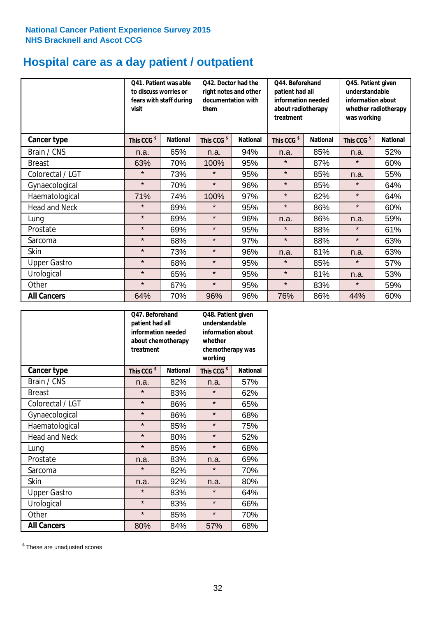# **Hospital care as a day patient / outpatient**

|                      | to discuss worries or<br>visit | Q41. Patient was able<br>fears with staff during | Q42. Doctor had the<br>right notes and other<br>documentation with<br>them |                 | Q44. Beforehand<br>patient had all<br>information needed<br>about radiotherapy<br>treatment |                 | Q45. Patient given<br>understandable<br>information about<br>whether radiotherapy<br>was working |                 |
|----------------------|--------------------------------|--------------------------------------------------|----------------------------------------------------------------------------|-----------------|---------------------------------------------------------------------------------------------|-----------------|--------------------------------------------------------------------------------------------------|-----------------|
| <b>Cancer type</b>   | This CCG <sup>\$</sup>         | <b>National</b>                                  | This CCG <sup>\$</sup>                                                     | <b>National</b> | This CCG <sup>\$</sup>                                                                      | <b>National</b> | This CCG <sup>\$</sup>                                                                           | <b>National</b> |
| Brain / CNS          | n.a.                           | 65%                                              | n.a.                                                                       | 94%             | n.a.                                                                                        | 85%             | n.a.                                                                                             | 52%             |
| <b>Breast</b>        | 63%                            | 70%                                              | 100%                                                                       | 95%             | $\star$                                                                                     | 87%             | $\star$                                                                                          | 60%             |
| Colorectal / LGT     | $\star$                        | 73%                                              | $\star$                                                                    | 95%             | $\star$                                                                                     | 85%             | n.a.                                                                                             | 55%             |
| Gynaecological       | $\star$                        | 70%                                              | $\star$                                                                    | 96%             | $\star$                                                                                     | 85%             | $\star$                                                                                          | 64%             |
| Haematological       | 71%                            | 74%                                              | 100%                                                                       | 97%             | $\star$                                                                                     | 82%             | $\star$                                                                                          | 64%             |
| <b>Head and Neck</b> | $\star$                        | 69%                                              | $\star$                                                                    | 95%             | $\star$                                                                                     | 86%             | $\star$                                                                                          | 60%             |
| Lung                 | $\star$                        | 69%                                              | $\star$                                                                    | 96%             | n.a.                                                                                        | 86%             | n.a.                                                                                             | 59%             |
| Prostate             | $\star$                        | 69%                                              | $\star$                                                                    | 95%             | $\star$                                                                                     | 88%             | $\star$                                                                                          | 61%             |
| Sarcoma              | $\star$                        | 68%                                              | $\star$                                                                    | 97%             | $\star$                                                                                     | 88%             | $\star$                                                                                          | 63%             |
| Skin                 | $\star$                        | 73%                                              | $\star$                                                                    | 96%             | n.a.                                                                                        | 81%             | n.a.                                                                                             | 63%             |
| <b>Upper Gastro</b>  | $\star$                        | 68%                                              | $\star$                                                                    | 95%             | $\star$                                                                                     | 85%             | $\star$                                                                                          | 57%             |
| Urological           | $\star$                        | 65%                                              | $\star$                                                                    | 95%             | $\star$                                                                                     | 81%             | n.a.                                                                                             | 53%             |
| Other                | $\star$                        | 67%                                              | $\star$                                                                    | 95%             | $\star$                                                                                     | 83%             | $\star$                                                                                          | 59%             |
| <b>All Cancers</b>   | 64%                            | 70%                                              | 96%                                                                        | 96%             | 76%                                                                                         | 86%             | 44%                                                                                              | 60%             |

|                      | O47. Beforehand<br>patient had all<br>information needed<br>treatment | about chemotherapy | Q48. Patient given<br>understandable<br>information about<br>whether<br>chemotherapy was<br>working |                 |  |
|----------------------|-----------------------------------------------------------------------|--------------------|-----------------------------------------------------------------------------------------------------|-----------------|--|
| <b>Cancer type</b>   | This CCG <sup>\$</sup>                                                | <b>National</b>    | This CCG <sup>\$</sup>                                                                              | <b>National</b> |  |
| Brain / CNS          | n.a.                                                                  | 82%                | n.a.                                                                                                | 57%             |  |
| <b>Breast</b>        | $\star$                                                               | 83%                | $\star$                                                                                             | 62%             |  |
| Colorectal / LGT     | $\star$                                                               | 86%                | $\star$                                                                                             | 65%             |  |
| Gynaecological       | $\star$                                                               | 86%                | $\star$                                                                                             | 68%             |  |
| Haematological       | $\star$                                                               | 85%                |                                                                                                     | 75%             |  |
| <b>Head and Neck</b> | $\star$                                                               | 80%                | $\star$                                                                                             | 52%             |  |
| Lung                 | $\star$                                                               | 85%                | $\star$                                                                                             | 68%             |  |
| Prostate             | n.a.                                                                  | 83%                | n.a.                                                                                                | 69%             |  |
| Sarcoma              | $\star$                                                               | 82%                | $\star$                                                                                             | 70%             |  |
| Skin                 | n.a.                                                                  | 92%                | n.a.                                                                                                | 80%             |  |
| <b>Upper Gastro</b>  | $\star$                                                               | 83%                | $\star$                                                                                             | 64%             |  |
| Urological           | $\star$                                                               | 83%                | $\star$                                                                                             | 66%             |  |
| Other                | $\star$                                                               | 85%                | $\star$                                                                                             | 70%             |  |
| <b>All Cancers</b>   | 80%                                                                   | 84%                | 57%                                                                                                 | 68%             |  |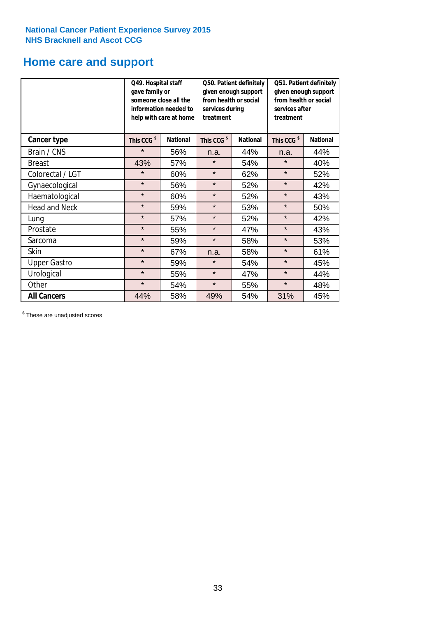# **Home care and support**

|                      | Q49. Hospital staff<br>gave family or | someone close all the<br>information needed to<br>help with care at home | Q50. Patient definitely<br>given enough support<br>from health or social<br>services during<br>treatment |                 | Q51. Patient definitely<br>given enough support<br>from health or social<br>services after<br>treatment |                 |
|----------------------|---------------------------------------|--------------------------------------------------------------------------|----------------------------------------------------------------------------------------------------------|-----------------|---------------------------------------------------------------------------------------------------------|-----------------|
| <b>Cancer type</b>   | This CCG <sup>\$</sup>                | <b>National</b>                                                          | This CCG <sup>\$</sup>                                                                                   | <b>National</b> | This CCG <sup>\$</sup>                                                                                  | <b>National</b> |
| Brain / CNS          | $\star$                               | 56%                                                                      | n.a.                                                                                                     | 44%             | n.a.                                                                                                    | 44%             |
| <b>Breast</b>        | 43%                                   | 57%                                                                      | $\star$                                                                                                  | 54%             | $\star$                                                                                                 | 40%             |
| Colorectal / LGT     | $\star$                               | 60%                                                                      | $\star$                                                                                                  | 62%             | $\star$                                                                                                 | 52%             |
| Gynaecological       | $\star$                               | 56%                                                                      | $\star$                                                                                                  | 52%             | $\star$                                                                                                 | 42%             |
| Haematological       | $\star$                               | 60%                                                                      | $\star$                                                                                                  | 52%             | $\star$                                                                                                 | 43%             |
| <b>Head and Neck</b> | $\star$                               | 59%                                                                      | $\star$                                                                                                  | 53%             | $\star$                                                                                                 | 50%             |
| Lung                 | $\star$                               | 57%                                                                      | $\star$                                                                                                  | 52%             | $\star$                                                                                                 | 42%             |
| Prostate             | $\star$                               | 55%                                                                      | $\star$                                                                                                  | 47%             | $\star$                                                                                                 | 43%             |
| Sarcoma              | $\star$                               | 59%                                                                      | $\star$                                                                                                  | 58%             | $\star$                                                                                                 | 53%             |
| Skin                 | $\star$                               | 67%                                                                      | n.a.                                                                                                     | 58%             | $\star$                                                                                                 | 61%             |
| <b>Upper Gastro</b>  | $\star$                               | 59%                                                                      | $\star$                                                                                                  | 54%             | $\star$                                                                                                 | 45%             |
| Urological           | $\star$                               | 55%                                                                      | $\star$                                                                                                  | 47%             | $\star$                                                                                                 | 44%             |
| Other                | $\star$                               | 54%                                                                      | $\star$                                                                                                  | 55%             | $\star$                                                                                                 | 48%             |
| <b>All Cancers</b>   | 44%                                   | 58%                                                                      | 49%                                                                                                      | 54%             | 31%                                                                                                     | 45%             |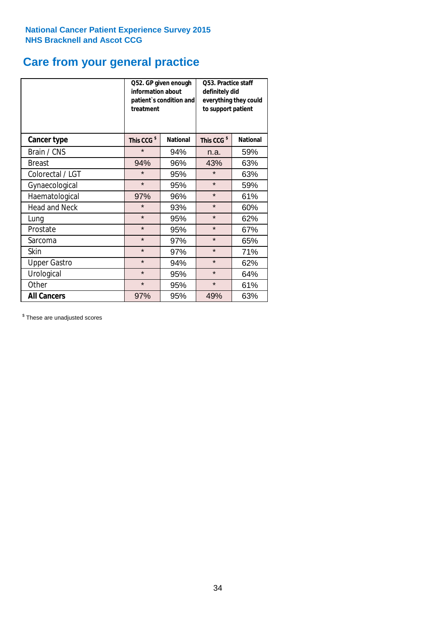# **Care from your general practice**

|                      | information about<br>treatment | Q52. GP given enough<br>patient's condition and | O53. Practice staff<br>definitely did<br>everything they could<br>to support patient |                 |  |
|----------------------|--------------------------------|-------------------------------------------------|--------------------------------------------------------------------------------------|-----------------|--|
| <b>Cancer type</b>   | This CCG <sup>\$</sup>         | <b>National</b>                                 | This CCG <sup>\$</sup>                                                               | <b>National</b> |  |
| Brain / CNS          | $\star$                        | 94%                                             | n.a.                                                                                 | 59%             |  |
| <b>Breast</b>        | 94%                            | 96%                                             | 43%                                                                                  | 63%             |  |
| Colorectal / LGT     | $\star$                        | 95%                                             | $\star$                                                                              | 63%             |  |
| Gynaecological       | $\star$                        | 95%                                             | $\star$                                                                              | 59%             |  |
| Haematological       | 97%                            | 96%                                             | $\star$                                                                              | 61%             |  |
| <b>Head and Neck</b> | $\star$                        | 93%                                             | $\star$                                                                              | 60%             |  |
| Lung                 | $\star$                        | 95%                                             | $\star$                                                                              | 62%             |  |
| Prostate             | $\star$                        | 95%                                             | $\star$                                                                              | 67%             |  |
| Sarcoma              | $\star$                        | 97%                                             | $\star$                                                                              | 65%             |  |
| Skin                 | $\star$                        | 97%                                             | $\star$                                                                              | 71%             |  |
| <b>Upper Gastro</b>  | $\star$                        | 94%                                             | $\star$                                                                              | 62%             |  |
| Urological           | $\star$                        | 95%                                             | $\star$                                                                              | 64%             |  |
| Other                | $\star$                        | 95%                                             | $\star$                                                                              | 61%             |  |
| <b>All Cancers</b>   | 97%                            | 95%                                             | 49%                                                                                  | 63%             |  |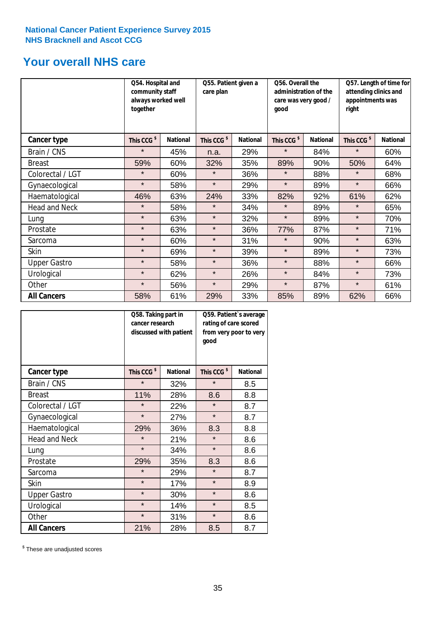# **Your overall NHS care**

|                      | Q54. Hospital and<br>community staff<br>always worked well<br>together |                 | care plan              | Q55. Patient given a |                        | Q56. Overall the<br>administration of the<br>care was very good /<br>good |                        | Q57. Length of time for<br>attending clinics and<br>appointments was<br>right |  |
|----------------------|------------------------------------------------------------------------|-----------------|------------------------|----------------------|------------------------|---------------------------------------------------------------------------|------------------------|-------------------------------------------------------------------------------|--|
| Cancer type          | This CCG <sup>\$</sup>                                                 | <b>National</b> | This CCG <sup>\$</sup> | <b>National</b>      | This CCG <sup>\$</sup> | <b>National</b>                                                           | This CCG <sup>\$</sup> | <b>National</b>                                                               |  |
| Brain / CNS          | $\star$                                                                | 45%             | n.a.                   | 29%                  | $\star$                | 84%                                                                       | $\star$                | 60%                                                                           |  |
| <b>Breast</b>        | 59%                                                                    | 60%             | 32%                    | 35%                  | 89%                    | 90%                                                                       | 50%                    | 64%                                                                           |  |
| Colorectal / LGT     | $\star$                                                                | 60%             | $\star$                | 36%                  | $\star$                | 88%                                                                       | $\star$                | 68%                                                                           |  |
| Gynaecological       | $\star$                                                                | 58%             | $\star$                | 29%                  | $\star$                | 89%                                                                       | $\star$                | 66%                                                                           |  |
| Haematological       | 46%                                                                    | 63%             | 24%                    | 33%                  | 82%                    | 92%                                                                       | 61%                    | 62%                                                                           |  |
| <b>Head and Neck</b> | $\star$                                                                | 58%             | $\star$                | 34%                  | $\star$                | 89%                                                                       | $\star$                | 65%                                                                           |  |
| Lung                 | $\star$                                                                | 63%             | $\star$                | 32%                  | $\star$                | 89%                                                                       | $\star$                | 70%                                                                           |  |
| Prostate             | $\star$                                                                | 63%             | $\star$                | 36%                  | 77%                    | 87%                                                                       | $\star$                | 71%                                                                           |  |
| Sarcoma              | $\star$                                                                | 60%             | $\star$                | 31%                  | $\star$                | 90%                                                                       | $\star$                | 63%                                                                           |  |
| Skin                 | $\star$                                                                | 69%             | $\star$                | 39%                  | $\star$                | 89%                                                                       | $\star$                | 73%                                                                           |  |
| <b>Upper Gastro</b>  | $\star$                                                                | 58%             | $\star$                | 36%                  | $\star$                | 88%                                                                       | $\star$                | 66%                                                                           |  |
| Urological           | $\star$                                                                | 62%             | $\star$                | 26%                  | $\star$                | 84%                                                                       | $\star$                | 73%                                                                           |  |
| Other                | $\star$                                                                | 56%             | $\star$                | 29%                  | $\star$                | 87%                                                                       | $\star$                | 61%                                                                           |  |
| <b>All Cancers</b>   | 58%                                                                    | 61%             | 29%                    | 33%                  | 85%                    | 89%                                                                       | 62%                    | 66%                                                                           |  |

|                      | Q58. Taking part in<br>cancer research | discussed with patient | Q59. Patient's average<br>rating of care scored<br>from very poor to very<br>good |                 |  |
|----------------------|----------------------------------------|------------------------|-----------------------------------------------------------------------------------|-----------------|--|
| <b>Cancer type</b>   | This CCG <sup>\$</sup>                 | <b>National</b>        | This CCG <sup>\$</sup>                                                            | <b>National</b> |  |
| Brain / CNS          | $\star$                                | 32%                    | $\star$                                                                           | 8.5             |  |
| <b>Breast</b>        | 11%                                    | 28%                    | 8.6                                                                               | 8.8             |  |
| Colorectal / LGT     | $\star$                                | 22%                    | $\star$                                                                           | 8.7             |  |
| Gynaecological       | $\star$                                | 27%                    | $\star$                                                                           | 8.7             |  |
| Haematological       | 29%                                    | 36%                    | 8.3                                                                               | 8.8             |  |
| <b>Head and Neck</b> | $\star$                                | 21%                    | $\star$                                                                           | 8.6             |  |
| Lung                 | $\star$                                | 34%                    | $\star$                                                                           | 8.6             |  |
| Prostate             | 29%                                    | 35%                    | 8.3                                                                               | 8.6             |  |
| Sarcoma              | $\star$                                | 29%                    | $\star$                                                                           | 8.7             |  |
| <b>Skin</b>          | $\star$                                | 17%                    | $\star$                                                                           | 8.9             |  |
| <b>Upper Gastro</b>  | $\star$                                | 30%                    | $\star$                                                                           | 8.6             |  |
| Urological           | $\star$                                | 14%                    | $\star$                                                                           | 8.5             |  |
| Other                | $\star$                                | 31%                    | $\star$                                                                           | 8.6             |  |
| <b>All Cancers</b>   | 21%                                    | 28%                    | 8.5                                                                               | 8.7             |  |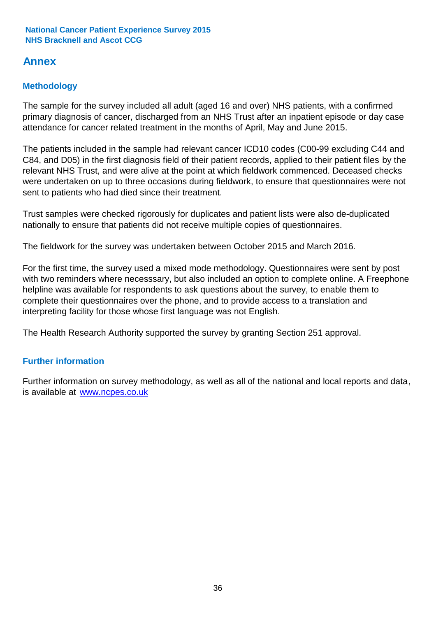# **Annex**

# **Methodology**

The sample for the survey included all adult (aged 16 and over) NHS patients, with a confirmed primary diagnosis of cancer, discharged from an NHS Trust after an inpatient episode or day case attendance for cancer related treatment in the months of April, May and June 2015.

The patients included in the sample had relevant cancer ICD10 codes (C00-99 excluding C44 and C84, and D05) in the first diagnosis field of their patient records, applied to their patient files by the relevant NHS Trust, and were alive at the point at which fieldwork commenced. Deceased checks were undertaken on up to three occasions during fieldwork, to ensure that questionnaires were not sent to patients who had died since their treatment.

Trust samples were checked rigorously for duplicates and patient lists were also de-duplicated nationally to ensure that patients did not receive multiple copies of questionnaires.

The fieldwork for the survey was undertaken between October 2015 and March 2016.

For the first time, the survey used a mixed mode methodology. Questionnaires were sent by post with two reminders where necesssary, but also included an option to complete online. A Freephone helpline was available for respondents to ask questions about the survey, to enable them to complete their questionnaires over the phone, and to provide access to a translation and interpreting facility for those whose first language was not English.

The Health Research Authority supported the survey by granting Section 251 approval.

# **Further information**

Further information on survey methodology, as well as all of the national and local reports and data, is available at www.ncpes.co.uk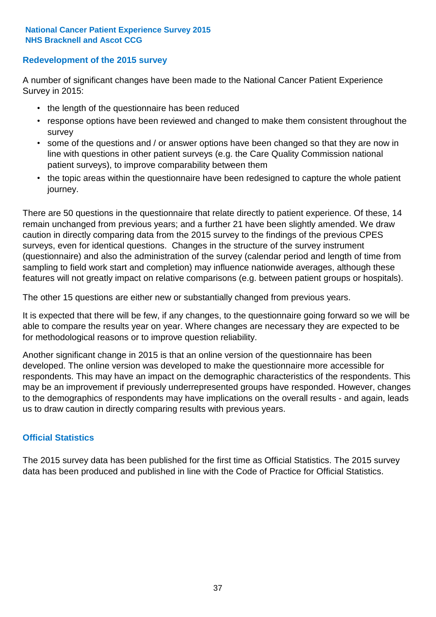# **Redevelopment of the 2015 survey**

A number of significant changes have been made to the National Cancer Patient Experience Survey in 2015:

- the length of the questionnaire has been reduced
- response options have been reviewed and changed to make them consistent throughout the survey
- some of the questions and / or answer options have been changed so that they are now in line with questions in other patient surveys (e.g. the Care Quality Commission national patient surveys), to improve comparability between them
- the topic areas within the questionnaire have been redesigned to capture the whole patient journey.

There are 50 questions in the questionnaire that relate directly to patient experience. Of these, 14 remain unchanged from previous years; and a further 21 have been slightly amended. We draw caution in directly comparing data from the 2015 survey to the findings of the previous CPES surveys, even for identical questions. Changes in the structure of the survey instrument (questionnaire) and also the administration of the survey (calendar period and length of time from sampling to field work start and completion) may influence nationwide averages, although these features will not greatly impact on relative comparisons (e.g. between patient groups or hospitals).

The other 15 questions are either new or substantially changed from previous years.

It is expected that there will be few, if any changes, to the questionnaire going forward so we will be able to compare the results year on year. Where changes are necessary they are expected to be for methodological reasons or to improve question reliability.

Another significant change in 2015 is that an online version of the questionnaire has been developed. The online version was developed to make the questionnaire more accessible for respondents. This may have an impact on the demographic characteristics of the respondents. This may be an improvement if previously underrepresented groups have responded. However, changes to the demographics of respondents may have implications on the overall results - and again, leads us to draw caution in directly comparing results with previous years.

# **Official Statistics**

The 2015 survey data has been published for the first time as Official Statistics. The 2015 survey data has been produced and published in line with the Code of Practice for Official Statistics.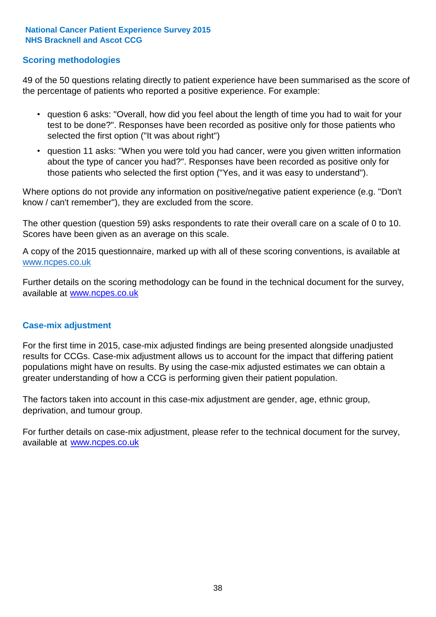# **Scoring methodologies**

49 of the 50 questions relating directly to patient experience have been summarised as the score of the percentage of patients who reported a positive experience. For example:

- question 6 asks: "Overall, how did you feel about the length of time you had to wait for your test to be done?". Responses have been recorded as positive only for those patients who selected the first option ("It was about right")
- question 11 asks: "When you were told you had cancer, were you given written information about the type of cancer you had?". Responses have been recorded as positive only for those patients who selected the first option ("Yes, and it was easy to understand").

Where options do not provide any information on positive/negative patient experience (e.g. "Don't know / can't remember"), they are excluded from the score.

The other question (question 59) asks respondents to rate their overall care on a scale of 0 to 10. Scores have been given as an average on this scale.

A copy of the 2015 questionnaire, marked up with all of these scoring conventions, is available at www.ncpes.co.uk

Further details on the scoring methodology can be found in the technical document for the survey, available at <u>www.ncpes.co.uk</u>

### **Case-mix adjustment**

For the first time in 2015, case-mix adjusted findings are being presented alongside unadjusted results for CCGs. Case-mix adjustment allows us to account for the impact that differing patient populations might have on results. By using the case-mix adjusted estimates we can obtain a greater understanding of how a CCG is performing given their patient population.

The factors taken into account in this case-mix adjustment are gender, age, ethnic group, deprivation, and tumour group.

For further details on case-mix adjustment, please refer to the technical document for the survey, available at www.ncpes.co.uk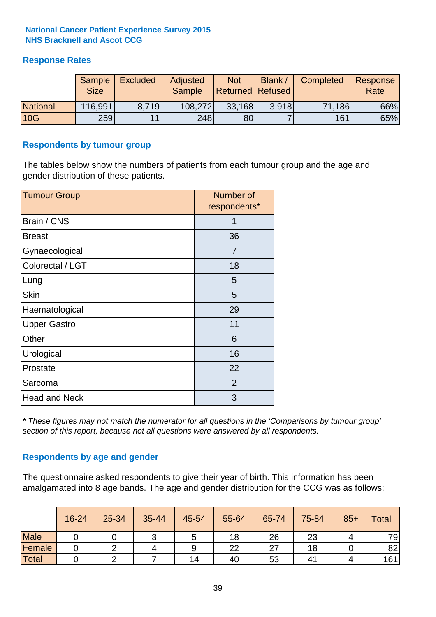# **Response Rates**

|                 | Sample<br><b>Size</b> | <b>Excluded</b> | Adjusted<br><b>Sample</b> | <b>Not</b><br>Returned   Refused | <b>Blank</b> / | Completed | Response<br>Rate |
|-----------------|-----------------------|-----------------|---------------------------|----------------------------------|----------------|-----------|------------------|
| <b>National</b> | 116,991               | 8.719           | 108,272                   | 33,168                           | 3.918          | 71,186    | 66%              |
| 10G             | 259                   | 11              | 248                       | 80                               |                | 161       | 65%              |

### **Respondents by tumour group**

The tables below show the numbers of patients from each tumour group and the age and gender distribution of these patients.

| <b>Tumour Group</b>  | Number of<br>respondents* |  |  |
|----------------------|---------------------------|--|--|
| Brain / CNS          | 1                         |  |  |
| <b>Breast</b>        | 36                        |  |  |
| Gynaecological       | 7                         |  |  |
| Colorectal / LGT     | 18                        |  |  |
| Lung                 | 5                         |  |  |
| <b>Skin</b>          | 5                         |  |  |
| Haematological       | 29                        |  |  |
| <b>Upper Gastro</b>  | 11                        |  |  |
| Other                | 6                         |  |  |
| Urological           | 16                        |  |  |
| Prostate             | 22                        |  |  |
| Sarcoma              | 2                         |  |  |
| <b>Head and Neck</b> | 3                         |  |  |

*\* These figures may not match the numerator for all questions in the 'Comparisons by tumour group' section of this report, because not all questions were answered by all respondents.*

# **Respondents by age and gender**

The questionnaire asked respondents to give their year of birth. This information has been amalgamated into 8 age bands. The age and gender distribution for the CCG was as follows:

|             | 16-24 | 25-34 | 35-44 | 45-54 | 55-64 | 65-74 | 75-84 | $85+$ | <b>Total</b> |
|-------------|-------|-------|-------|-------|-------|-------|-------|-------|--------------|
| <b>Male</b> |       |       |       | ັ     | 18    | 26    | 23    |       | 79           |
| Female      |       |       |       | 9     | 22    | 27    | 18    |       | 82           |
| Total       |       |       |       | 14    | 40    | 53    | 41    |       | 161          |